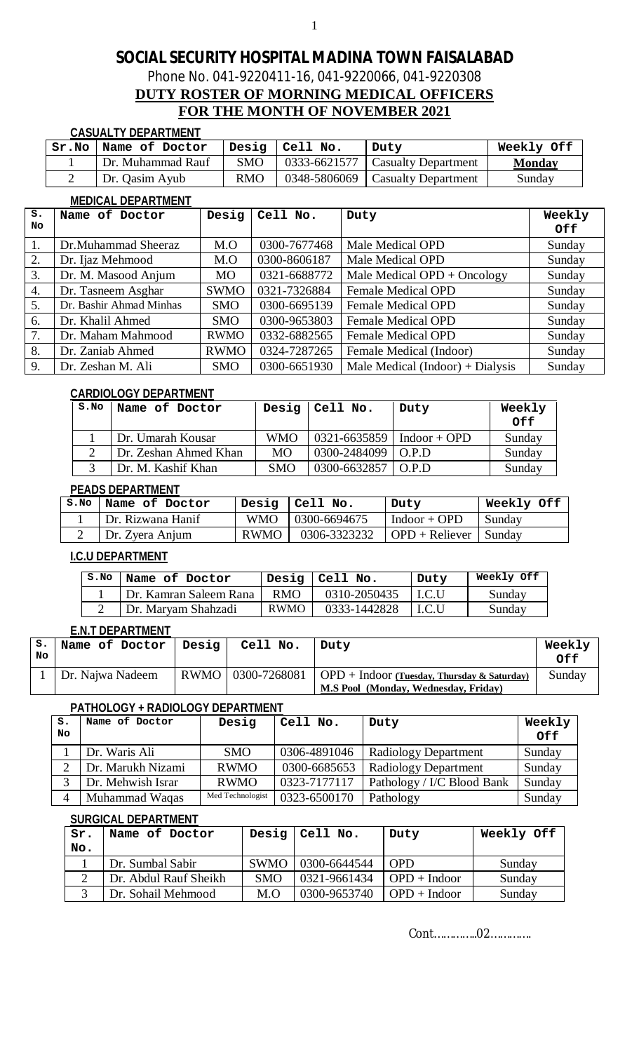Phone No. 041-9220411-16, 041-9220066, 041-9220308

### **DUTY ROSTER OF MORNING MEDICAL OFFICERS FOR THE MONTH OF NOVEMBER 2021**

### **CASUALTY DEPARTMENT**

| Sr.No | Name of Doctor    | Desig      | Cell No.     | Duty                               | Weekly Off    |
|-------|-------------------|------------|--------------|------------------------------------|---------------|
|       | Dr. Muhammad Rauf | <b>SMO</b> |              | $0333-6621577$ Casualty Department | <b>Monday</b> |
|       | Dr. Qasim Ayub    | <b>RMO</b> | 0348-5806069 | <b>Casualty Department</b>         | Sunday        |

### **MEDICAL DEPARTMENT**

| s. | Name of Doctor          | Desig       | Cell No.     | Duty                             | Weekly     |
|----|-------------------------|-------------|--------------|----------------------------------|------------|
| No |                         |             |              |                                  | <b>Off</b> |
|    | Dr.Muhammad Sheeraz     | M.O         | 0300-7677468 | Male Medical OPD                 | Sunday     |
| 2. | Dr. Ijaz Mehmood        | M.O         | 0300-8606187 | Male Medical OPD                 | Sunday     |
| 3. | Dr. M. Masood Anjum     | <b>MO</b>   | 0321-6688772 | Male Medical $OPD + Oncology$    | Sunday     |
| 4. | Dr. Tasneem Asghar      | <b>SWMO</b> | 0321-7326884 | <b>Female Medical OPD</b>        | Sunday     |
| 5. | Dr. Bashir Ahmad Minhas | <b>SMO</b>  | 0300-6695139 | <b>Female Medical OPD</b>        | Sunday     |
| 6. | Dr. Khalil Ahmed        | <b>SMO</b>  | 0300-9653803 | <b>Female Medical OPD</b>        | Sunday     |
| 7. | Dr. Maham Mahmood       | <b>RWMO</b> | 0332-6882565 | <b>Female Medical OPD</b>        | Sunday     |
| 8. | Dr. Zaniab Ahmed        | <b>RWMO</b> | 0324-7287265 | Female Medical (Indoor)          | Sunday     |
| 9. | Dr. Zeshan M. Ali       | <b>SMO</b>  | 0300-6651930 | Male Medical (Indoor) + Dialysis | Sunday     |

#### **CARDIOLOGY DEPARTMENT**

| S.NO | Name of Doctor        | Desig      | $ $ Cell No.                    | Duty             | Weekly |
|------|-----------------------|------------|---------------------------------|------------------|--------|
|      |                       |            |                                 |                  | Off    |
|      | Dr. Umarah Kousar     | <b>WMO</b> | $0321 - 6635859$   Indoor + OPD |                  | Sunday |
|      | Dr. Zeshan Ahmed Khan | <b>MO</b>  | $0300 - 2484099$ O.P.D          |                  | Sunday |
|      | Dr. M. Kashif Khan    | <b>SMO</b> | 0300-6632857                    | $\overline{OPD}$ | Sunday |

#### **PEADS DEPARTMENT**

| S.NO | Name of Doctor    |      | Desig $ $ Cell No. | Duty                    | Weekly Off |
|------|-------------------|------|--------------------|-------------------------|------------|
|      | Dr. Rizwana Hanif |      | WMO   0300-6694675 | $Indoor + OPD$          | Sunday     |
|      | Dr. Zyera Anjum   | RWMO | 0306-3323232       | $OPD + Reliever$ Sunday |            |

### **I.C.U DEPARTMENT**

| S.NO | Name of Doctor         |             | Desig $ $ Cell No. | Duty  | Weekly Off |
|------|------------------------|-------------|--------------------|-------|------------|
|      | Dr. Kamran Saleem Rana | RMO         | 0310-2050435       | I.C.U | Sunday     |
|      | Dr. Maryam Shahzadi    | <b>RWMO</b> | 0333-1442828       | I.C.U | Sunday     |

#### **E.N.T DEPARTMENT**

| s. | Name of Doctor   | Desig | Cell No. | Duty                                                              | Weekly |
|----|------------------|-------|----------|-------------------------------------------------------------------|--------|
| No |                  |       |          |                                                                   | Off    |
|    | Dr. Najwa Nadeem |       |          | RWMO   0300-7268081   OPD + Indoor (Tuesday, Thursday & Saturday) | Sunday |
|    |                  |       |          | M.S Pool (Monday, Wednesday, Friday)                              |        |

### **PATHOLOGY + RADIOLOGY DEPARTMENT**

| s. | Name of Doctor    | Desig            | Cell No.     | Duty                       | Weekly |
|----|-------------------|------------------|--------------|----------------------------|--------|
| No |                   |                  |              |                            | Off    |
|    | Dr. Waris Ali     | <b>SMO</b>       | 0306-4891046 | Radiology Department       | Sunday |
|    | Dr. Marukh Nizami | <b>RWMO</b>      | 0300-6685653 | Radiology Department       | Sunday |
|    | Dr. Mehwish Israr | <b>RWMO</b>      | 0323-7177117 | Pathology / I/C Blood Bank | Sunday |
|    | Muhammad Waqas    | Med Technologist | 0323-6500170 | Pathology                  | Sunday |

#### **SURGICAL DEPARTMENT**

| Sr. | Name of Doctor        | Desig       | Cell No.     | Duty           | Weekly Off |
|-----|-----------------------|-------------|--------------|----------------|------------|
| No. |                       |             |              |                |            |
|     | Dr. Sumbal Sabir      | <b>SWMO</b> | 0300-6644544 | <b>OPD</b>     | Sunday     |
|     | Dr. Abdul Rauf Sheikh | <b>SMO</b>  | 0321-9661434 | $OPD + Indoor$ | Sunday     |
|     | Dr. Sohail Mehmood    | M.O         | 0300-9653740 | $OPD + Indoor$ | Sunday     |

Cont…………..02………….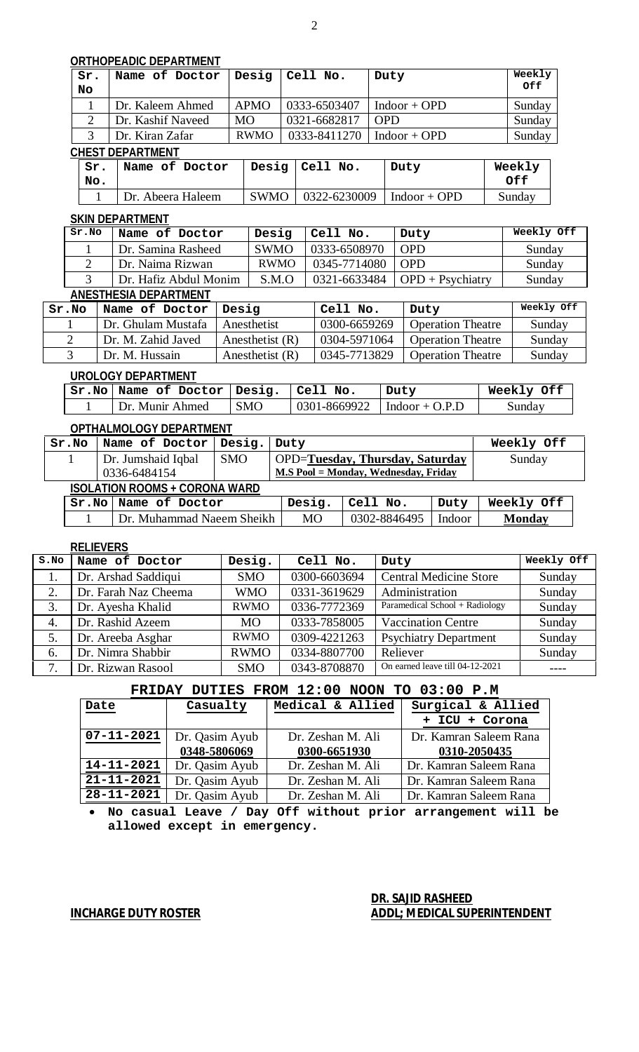### **ORTHOPEADIC DEPARTMENT**

| Sr. | Name of Doctor    | Desig       | Cell No.     | Duty           | Weekly |  |  |  |  |  |
|-----|-------------------|-------------|--------------|----------------|--------|--|--|--|--|--|
| No  |                   |             |              |                | Off    |  |  |  |  |  |
|     | Dr. Kaleem Ahmed  | <b>APMO</b> | 0333-6503407 | $Indoor + OPD$ | Sunday |  |  |  |  |  |
|     | Dr. Kashif Naveed | <b>MO</b>   | 0321-6682817 | <b>OPD</b>     | Sunday |  |  |  |  |  |
|     | Dr. Kiran Zafar   | <b>RWMO</b> | 0333-8411270 | $Indoor + OPD$ | Sunday |  |  |  |  |  |
|     | CHEST DEPARTMENT  |             |              |                |        |  |  |  |  |  |

| Sr.<br>No. | Name of Doctor   Desig   Cell No. |                                            | Duty | Weekly<br>Off |
|------------|-----------------------------------|--------------------------------------------|------|---------------|
|            | Dr. Abeera Haleem                 | $ $ SWMO $ $ 0322-6230009 $ $ Indoor + OPD |      | Sunday        |

#### **SKIN DEPARTMENT**

| Sr.No | Name of Doctor        | Desig       | Cell No.         | Duty                            | Weekly Off |
|-------|-----------------------|-------------|------------------|---------------------------------|------------|
|       | Dr. Samina Rasheed    | <b>SWMO</b> | $0333 - 6508970$ | <b>OPD</b>                      | Sunday     |
|       | Dr. Naima Rizwan      | <b>RWMO</b> | 0345-7714080 OPD |                                 | Sunday     |
|       | Dr. Hafiz Abdul Monim | S.M.O       |                  | 0321-6633484   OPD + Psychiatry | Sunday     |
|       |                       |             |                  |                                 |            |

### **ANESTHESIA DEPARTMENT**

| Sr.No | Name of Doctor     | Desig             | Cell No.     | Duty                     | Weekly Off |
|-------|--------------------|-------------------|--------------|--------------------------|------------|
|       | Dr. Ghulam Mustafa | Anesthetist       | 0300-6659269 | <b>Operation Theatre</b> | Sunday     |
|       | Dr. M. Zahid Javed | Anesthetist $(R)$ | 0304-5971064 | <b>Operation Theatre</b> | Sunday     |
|       | Dr. M. Hussain     | Anesthetist $(R)$ | 0345-7713829 | <b>Operation Theatre</b> | Sunday     |

### **UROLOGY DEPARTMENT**

| $Sr.No $ Name of Doctor   Desig.   Cell No. |                              | Duty                                        | Weekly Off |
|---------------------------------------------|------------------------------|---------------------------------------------|------------|
| Dr. Munir Ahmed                             | $\overline{\phantom{a}}$ SMO | $\vert$ 0301-8669922 $\vert$ Indoor + O.P.D | Sunday     |

### **OPTHALMOLOGY DEPARTMENT**

| Sr.No                                | Name of Doctor            | Desig.     | Duty                                   |                                      |        | Weekly Off    |
|--------------------------------------|---------------------------|------------|----------------------------------------|--------------------------------------|--------|---------------|
|                                      | Dr. Jumshaid Iqbal        | <b>SMO</b> | <b>OPD=Tuesday, Thursday, Saturday</b> |                                      | Sunday |               |
|                                      | 0336-6484154              |            |                                        | M.S Pool = Monday, Wednesday, Friday |        |               |
| <b>ISOLATION ROOMS + CORONA WARD</b> |                           |            |                                        |                                      |        |               |
|                                      | Sr.No   Name of Doctor    |            | Desig.                                 | Cell No.                             | Duty   | Weekly Off    |
|                                      | Dr. Muhammad Naeem Sheikh |            | <b>MO</b>                              | 0302-8846495                         | Indoor | <b>Monday</b> |

#### **RELIEVERS**

| S.NO | Name of Doctor       | Desig.      | Cell No.     | Duty                            | Weekly Off |
|------|----------------------|-------------|--------------|---------------------------------|------------|
|      | Dr. Arshad Saddiqui  | <b>SMO</b>  | 0300-6603694 | <b>Central Medicine Store</b>   | Sunday     |
| 2.   | Dr. Farah Naz Cheema | <b>WMO</b>  | 0331-3619629 | Administration                  | Sunday     |
| 3.   | Dr. Ayesha Khalid    | <b>RWMO</b> | 0336-7772369 | Paramedical School + Radiology  | Sunday     |
| 4.   | Dr. Rashid Azeem     | <b>MO</b>   | 0333-7858005 | <b>Vaccination Centre</b>       | Sunday     |
|      | Dr. Areeba Asghar    | <b>RWMO</b> | 0309-4221263 | <b>Psychiatry Department</b>    | Sunday     |
| 6.   | Dr. Nimra Shabbir    | <b>RWMO</b> | 0334-8807700 | Reliever                        | Sunday     |
| 7.   | Dr. Rizwan Rasool    | <b>SMO</b>  | 0343-8708870 | On earned leave till 04-12-2021 |            |

### **FRIDAY DUTIES FROM 12:00 NOON TO 03:00 P.M**

| Date             | Casualty       | Medical & Allied  | Surgical & Allied      |
|------------------|----------------|-------------------|------------------------|
|                  |                |                   | + ICU + Corona         |
| $07 - 11 - 2021$ | Dr. Qasim Ayub | Dr. Zeshan M. Ali | Dr. Kamran Saleem Rana |
|                  | 0348-5806069   | 0300-6651930      | 0310-2050435           |
| $14 - 11 - 2021$ | Dr. Qasim Ayub | Dr. Zeshan M. Ali | Dr. Kamran Saleem Rana |
| $21 - 11 - 2021$ | Dr. Qasim Ayub | Dr. Zeshan M. Ali | Dr. Kamran Saleem Rana |
| $28 - 11 - 2021$ | Dr. Qasim Ayub | Dr. Zeshan M. Ali | Dr. Kamran Saleem Rana |

 **No casual Leave / Day Off without prior arrangement will be allowed except in emergency.** 

### **DR. SAJID RASHEED INCHARGE DUTY ROSTER ADDL; MEDICAL SUPERINTENDENT**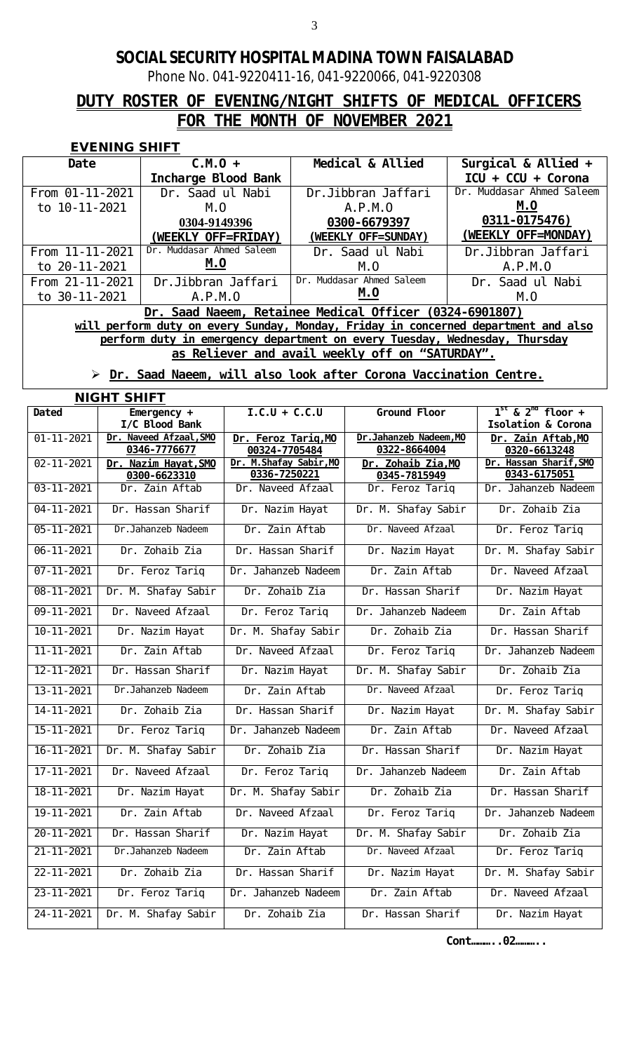Phone No. 041-9220411-16, 041-9220066, 041-9220308

# **DUTY ROSTER OF EVENING/NIGHT SHIFTS OF MEDICAL OFFICERS FOR THE MONTH OF NOVEMBER 2021**

### **EVENING SHIFT**

| Date                                                                       | $C.M.0 +$                                                                          | Medical & Allied                                        | Surgical & Allied $+$        |  |  |  |  |
|----------------------------------------------------------------------------|------------------------------------------------------------------------------------|---------------------------------------------------------|------------------------------|--|--|--|--|
|                                                                            | Incharge Blood Bank                                                                |                                                         | $ICU + CCU + Corona$         |  |  |  |  |
| From 01-11-2021                                                            | Dr. Saad ul Nabi                                                                   | Dr. Jibbran Jaffari                                     | Muddasar Ahmed Saleem<br>Dr. |  |  |  |  |
| to 10-11-2021                                                              | M. O                                                                               | A. P. M. O                                              | M. O                         |  |  |  |  |
|                                                                            | 0304-9149396                                                                       | 0300-6679397                                            | 0311-0175476)                |  |  |  |  |
|                                                                            | (WEEKLY OFF=FRIDAY)                                                                | (WEEKLY OFF=SUNDAY)                                     | (WEEKLY OFF=MONDAY)          |  |  |  |  |
| From 11-11-2021                                                            | Dr. Muddasar Ahmed Saleem                                                          | Dr. Saad ul Nabi                                        | Dr. Jibbran Jaffari          |  |  |  |  |
| to 20-11-2021                                                              | M. O                                                                               | $M_{\cdot}$ $O_{\cdot}$                                 | A. P. M. O                   |  |  |  |  |
| From 21-11-2021                                                            | Dr. Ji bbran Jaffari                                                               | Muddasar Ahmed Saleem<br>Dr.                            | Dr. Saad ul Nabi             |  |  |  |  |
| to 30-11-2021                                                              | A. P. M. O                                                                         | M.O                                                     | M. O                         |  |  |  |  |
|                                                                            |                                                                                    | Dr. Saad Naeem, Retainee Medical Officer (0324-6901807) |                              |  |  |  |  |
|                                                                            | will perform duty on every Sunday, Monday, Friday in concerned department and also |                                                         |                              |  |  |  |  |
| perform duty in emergency department on every Tuesday, Wednesday, Thursday |                                                                                    |                                                         |                              |  |  |  |  |
|                                                                            | as Reliever and avail weekly off on "SATURDAY".                                    |                                                         |                              |  |  |  |  |
|                                                                            |                                                                                    |                                                         |                              |  |  |  |  |

### **Dr. Saad Naeem, will also look after Corona Vaccination Centre.**

**NIGHT SHIFT**

| <b>Dated</b>     | Emergency $+$                        | $1.C.U + C.C.U$                         | Ground Floor                       | $1^{st}$ & $2^{nd}$ floor +            |
|------------------|--------------------------------------|-----------------------------------------|------------------------------------|----------------------------------------|
|                  | I/C BIood Bank                       |                                         |                                    | Isolation & Corona                     |
| $01 - 11 - 2021$ | Dr. Naveed Afzaal, SMO               | Dr. Feroz Tariq, MO                     | Dr. Jahanzeb Nadeem, MO            | Dr. Zain Aftab, MO                     |
|                  | 0346-7776677                         | 00324-7705484                           | 0322-8664004                       | 0320-6613248                           |
| $02 - 11 - 2021$ | Dr. Nazim Hayat, SMO<br>0300-6623310 | Dr. M. Shafay Sabir, MO<br>0336-7250221 | Dr. Zohaib Zia, MO<br>0345-7815949 | Dr. Hassan Sharif, SMO<br>0343-6175051 |
| $03 - 11 - 2021$ | Dr. Zain Aftab                       | Dr. Naveed Afzaal                       | Dr. Feroz Tariq                    | Dr. Jahanzeb Nadeem                    |
|                  |                                      |                                         |                                    |                                        |
| $04 - 11 - 2021$ | Dr. Hassan Sharif                    | Dr. Nazim Hayat                         | Dr. M. Shafay Sabir                | Dr. Zohaib Zia                         |
| $05 - 11 - 2021$ | Dr. Jahanzeb Nadeem                  | Dr. Zain Aftab                          | Dr. Naveed Afzaal                  | Dr. Feroz Tariq                        |
| $06 - 11 - 2021$ | Dr. Zohaib Zia                       | Dr. Hassan Sharif                       | Dr. Nazim Hayat                    | Dr. M. Shafay Sabir                    |
| $07 - 11 - 2021$ | Dr. Feroz Tariq                      | Dr. Jahanzeb Nadeem                     | Dr. Zain Aftab                     | Dr. Naveed Afzaal                      |
| $08 - 11 - 2021$ | Dr. M. Shafay Sabir                  | Dr. Zohaib Zia                          | Dr. Hassan Sharif                  | Dr. Nazim Hayat                        |
| $09 - 11 - 2021$ | Dr. Naveed Afzaal                    | Dr. Feroz Tariq                         | Dr. Jahanzeb Nadeem                | Dr. Zain Aftab                         |
| $10 - 11 - 2021$ | Dr. Nazim Hayat                      | Dr. M. Shafay Sabir                     | Dr. Zohaib Zia                     | Dr. Hassan Sharif                      |
| $11 - 11 - 2021$ | Dr. Zain Aftab                       | Dr. Naveed Afzaal                       | Dr. Feroz Tariq                    | Dr. Jahanzeb Nadeem                    |
| $12 - 11 - 2021$ | Dr. Hassan Sharif                    | Dr. Nazim Hayat                         | Dr. M. Shafay Sabir                | Dr. Zohaib Zia                         |
| $13 - 11 - 2021$ | Dr. Jahanzeb Nadeem                  | Dr. Zain Aftab                          | Dr. Naveed Afzaal                  | Dr. Feroz Tariq                        |
| $14 - 11 - 2021$ | Dr. Zohaib Zia                       | Dr. Hassan Sharif                       | Dr. Nazim Hayat                    | Dr. M. Shafay Sabir                    |
| $15 - 11 - 2021$ | Dr. Feroz Tariq                      | Dr. Jahanzeb Nadeem                     | Dr. Zain Aftab                     | Dr. Naveed Afzaal                      |
| $16 - 11 - 2021$ | Dr. M. Shafay Sabir                  | Dr. Zohaib Zia                          | Dr. Hassan Sharif                  | Dr. Nazim Hayat                        |
| $17 - 11 - 2021$ | Dr. Naveed Afzaal                    | Dr. Feroz Tariq                         | Dr. Jahanzeb Nadeem                | Dr. Zain Aftab                         |
| $18 - 11 - 2021$ | Dr. Nazim Hayat                      | Dr. M. Shafay Sabir                     | Dr. Zohaib Zia                     | Dr. Hassan Sharif                      |
| $19 - 11 - 2021$ | Dr. Zain Aftab                       | Dr. Naveed Afzaal                       | Dr. Feroz Tariq                    | Dr. Jahanzeb Nadeem                    |
| $20 - 11 - 2021$ | Dr. Hassan Sharif                    | Dr. Nazim Hayat                         | Dr. M. Shafay Sabir                | Dr. Zohaib Zia                         |
| $21 - 11 - 2021$ | Dr. Jahanzeb Nadeem                  | Dr. Zain Aftab                          | Dr. Naveed Afzaal                  | Dr. Feroz Tariq                        |
| $22 - 11 - 2021$ | Dr. Zohaib Zia                       | Dr. Hassan Sharif                       | Dr. Nazim Hayat                    | Dr. M. Shafay Sabir                    |
| $23 - 11 - 2021$ | Dr. Feroz Tariq                      | Dr. Jahanzeb Nadeem                     | Dr. Zain Aftab                     | Dr. Naveed Afzaal                      |
| $24 - 11 - 2021$ | Dr. M. Shafay Sabir                  | Dr. Zohaib Zia                          | Dr. Hassan Sharif                  | Dr. Nazim Hayat                        |

**Cont………..02………..**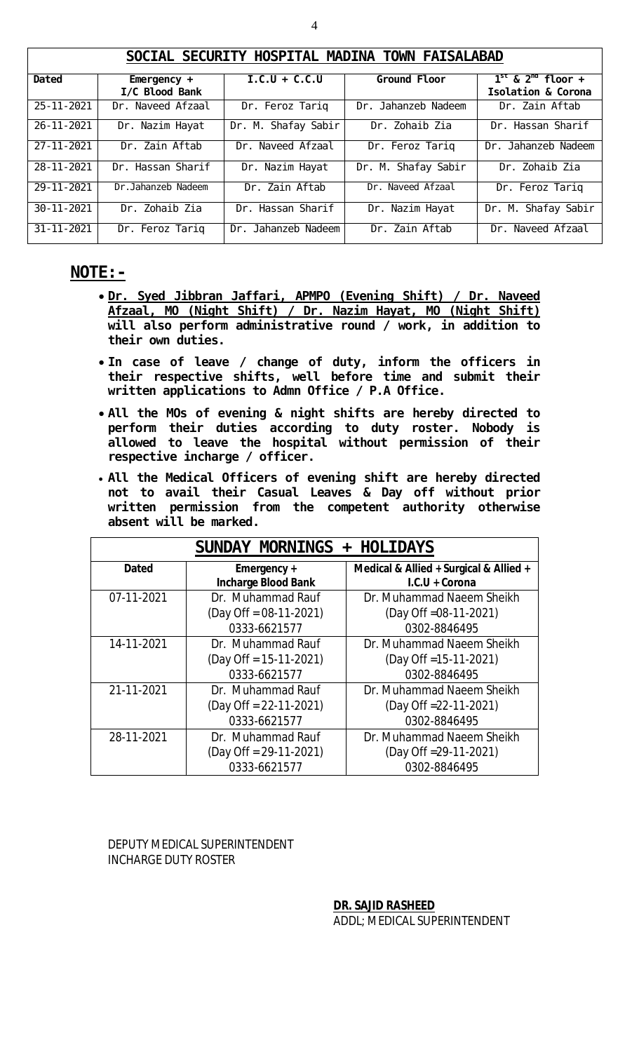|                  | SOCIAL SECURITY HOSPITAL MADINA TOWN FAISALABAD |                     |                     |                                             |  |  |  |
|------------------|-------------------------------------------------|---------------------|---------------------|---------------------------------------------|--|--|--|
| Dated            | Emergency $+$<br>I/C Blood Bank                 | $I.C.U + C.C.U$     | Ground Floor        | $1st$ & $2nd$ floor +<br>Isolation & Corona |  |  |  |
| $25 - 11 - 2021$ | Dr. Naveed Afzaal                               | Dr. Feroz Tariq     | Dr. Jahanzeb Nadeem | Dr. Zain Aftab                              |  |  |  |
| $26 - 11 - 2021$ | Dr. Nazim Hayat                                 | Dr. M. Shafay Sabir | Dr. Zohaib Zia      | Dr. Hassan Sharif                           |  |  |  |
| $27 - 11 - 2021$ | Dr. Zain Aftab                                  | Dr. Naveed Afzaal   | Dr. Feroz Tariq     | Dr. Jahanzeb Nadeem                         |  |  |  |
| 28-11-2021       | Dr. Hassan Sharif                               | Dr. Nazim Hayat     | Dr. M. Shafay Sabir | Dr. Zohaib Zia                              |  |  |  |
| 29-11-2021       | Dr. Jahanzeb Nadeem                             | Dr. Zain Aftab      | Dr. Naveed Afzaal   | Dr. Feroz Tariq                             |  |  |  |
| $30 - 11 - 2021$ | Dr. Zohaib Zia                                  | Dr. Hassan Sharif   | Dr. Nazim Hayat     | Dr. M. Shafay Sabir                         |  |  |  |
| $31 - 11 - 2021$ | Dr. Feroz Tariq                                 | Dr. Jahanzeb Nadeem | Dr. Zain Aftab      | Dr. Naveed Afzaal                           |  |  |  |

### **NOTE:-**

- **Dr. Syed Jibbran Jaffari, APMPO (Evening Shift) / Dr. Naveed Afzaal, MO (Night Shift) / Dr. Nazim Hayat, MO (Night Shift) will also perform administrative round / work, in addition to their own duties.**
- **In case of leave / change of duty, inform the officers in their respective shifts, well before time and submit their written applications to Admn Office / P.A Office.**
- **All the MOs of evening & night shifts are hereby directed to perform their duties according to duty roster. Nobody is allowed to leave the hospital without permission of their respective incharge / officer.**
- **All the Medical Officers of evening shift are hereby directed not to avail their Casual Leaves & Day off without prior written permission from the competent authority otherwise absent will be marked.**

| SUNDAY MORNINGS + HOLIDAYS |                            |                                        |  |  |  |  |
|----------------------------|----------------------------|----------------------------------------|--|--|--|--|
| <b>Dated</b>               | Emergency +                | Medical & Allied + Surgical & Allied + |  |  |  |  |
|                            | <b>Incharge Blood Bank</b> | I.C.U + Corona                         |  |  |  |  |
| 07-11-2021                 | Dr. Muhammad Rauf          | Dr. Muhammad Naeem Sheikh              |  |  |  |  |
|                            | $(Day$ Off = 08-11-2021)   | (Day Off = 08-11-2021)                 |  |  |  |  |
|                            | 0333-6621577               | 0302-8846495                           |  |  |  |  |
| 14-11-2021                 | Dr. Muhammad Rauf          | Dr. Muhammad Naeem Sheikh              |  |  |  |  |
|                            | $(Day$ Off = 15-11-2021)   | (Day Off = 15-11-2021)                 |  |  |  |  |
|                            | 0333-6621577               | 0302-8846495                           |  |  |  |  |
| 21-11-2021                 | Dr. Muhammad Rauf          | Dr. Muhammad Naeem Sheikh              |  |  |  |  |
|                            | $(Day$ Off = 22-11-2021)   | (Day Off = 22-11-2021)                 |  |  |  |  |
|                            | 0333-6621577               | 0302-8846495                           |  |  |  |  |
| 28-11-2021                 | Dr. Muhammad Rauf          | Dr. Muhammad Naeem Sheikh              |  |  |  |  |
|                            | $(Day$ Off = 29-11-2021)   | (Day Off = 29-11-2021)                 |  |  |  |  |
|                            | 0333-6621577               | 0302-8846495                           |  |  |  |  |

DEPUTY MEDICAL SUPERINTENDENT INCHARGE DUTY ROSTER

**DR. SAJID RASHEED**

ADDL; MEDICAL SUPERINTENDENT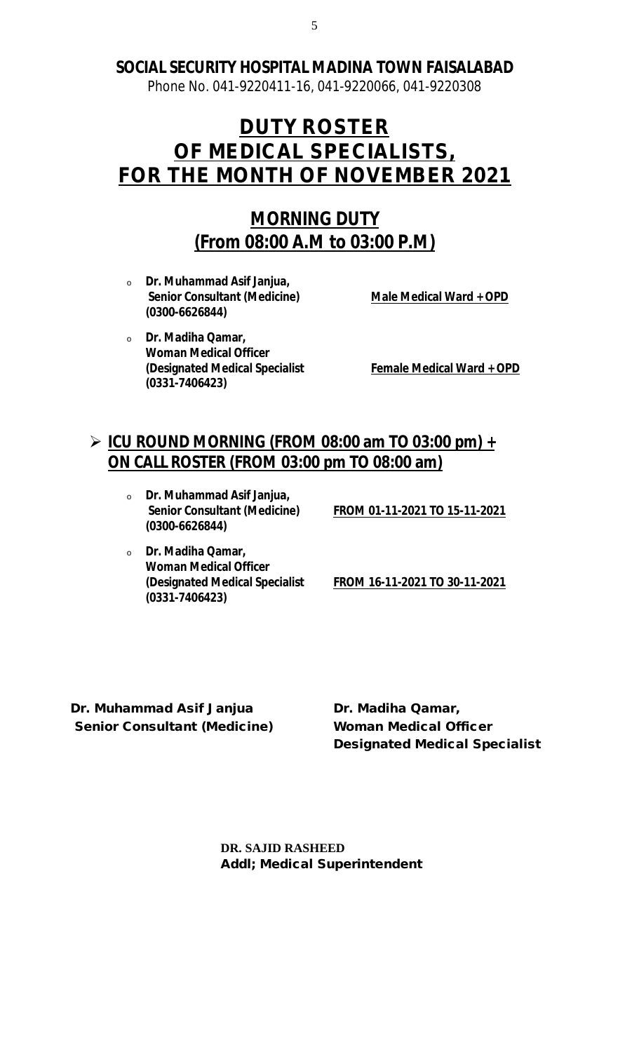Phone No. 041-9220411-16, 041-9220066, 041-9220308

# **DUTY ROSTER OF MEDICAL SPECIALISTS, FOR THE MONTH OF NOVEMBER 2021**

# **MORNING DUTY (From 08:00 A.M to 03:00 P.M)**

<sup>o</sup> **Dr. Muhammad Asif Janjua, Senior Consultant (Medicine) Male Medical Ward + OPD (0300-6626844)**

<sup>o</sup> **Dr. Madiha Qamar, Woman Medical Officer (Designated Medical Specialist Female Medical Ward + OPD (0331-7406423)**

# **ICU ROUND MORNING (FROM 08:00 am TO 03:00 pm) + ON CALL ROSTER (FROM 03:00 pm TO 08:00 am)**

<sup>o</sup> **Dr. Muhammad Asif Janjua, (0300-6626844)**

**Senior Consultant (Medicine) FROM 01-11-2021 TO 15-11-2021**

<sup>o</sup> **Dr. Madiha Qamar, Woman Medical Officer (0331-7406423)**

**(Designated Medical Specialist FROM 16-11-2021 TO 30-11-2021**

**Dr. Muhammad Asif Janjua Dr. Madiha Qamar, Senior Consultant (Medicine) Woman Medical Officer**

**Designated Medical Specialist**

**DR. SAJID RASHEED Addl; Medical Superintendent**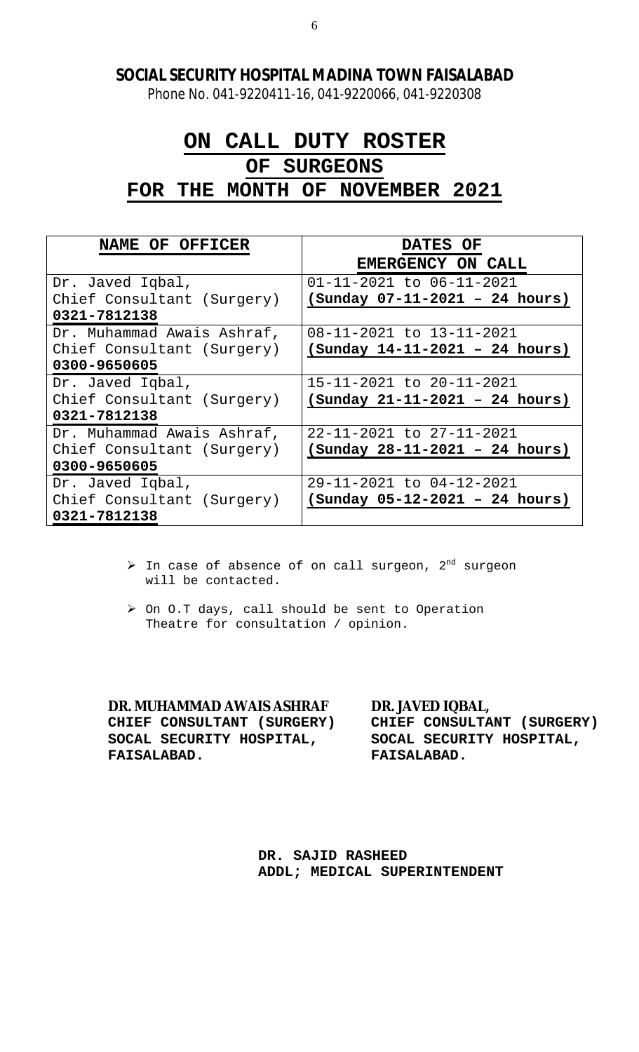Phone No. 041-9220411-16, 041-9220066, 041-9220308

# **ON CALL DUTY ROSTER**

# **OF SURGEONS**

**FOR THE MONTH OF NOVEMBER 2021**

| NAME OF OFFICER            | DATES OF                         |
|----------------------------|----------------------------------|
|                            | EMERGENCY ON CALL                |
| Dr. Javed Iqbal,           | 01-11-2021 to 06-11-2021         |
| Chief Consultant (Surgery) | $(sunday 07-11-2021 - 24 hours)$ |
| 0321-7812138               |                                  |
| Dr. Muhammad Awais Ashraf, | 08-11-2021 to 13-11-2021         |
| Chief Consultant (Surgery) | $(sunday 14-11-2021 - 24 hours)$ |
| 0300-9650605               |                                  |
| Dr. Javed Iqbal,           | 15-11-2021 to 20-11-2021         |
| Chief Consultant (Surgery) | $(sunday 21-11-2021 - 24 hours)$ |
| 0321-7812138               |                                  |
| Dr. Muhammad Awais Ashraf, | 22-11-2021 to 27-11-2021         |
| Chief Consultant (Surgery) | $(sunday 28-11-2021 - 24 hours)$ |
| 0300-9650605               |                                  |
| Dr. Javed Iqbal,           | 29-11-2021 to 04-12-2021         |
| Chief Consultant (Surgery) | $(sunday 05-12-2021 - 24 hours)$ |
| 0321-7812138               |                                  |

- $\triangleright$  In case of absence of on call surgeon,  $2^{nd}$  surgeon will be contacted.
- > On O.T days, call should be sent to Operation Theatre for consultation / opinion.

**DR. MUHAMMAD AWAIS ASHRAF DR. JAVED IQBAL, CHIEF CONSULTANT (SURGERY) CHIEF CONSULTANT (SURGERY) SOCAL SECURITY HOSPITAL, SOCAL SECURITY HOSPITAL, FAISALABAD. FAISALABAD.**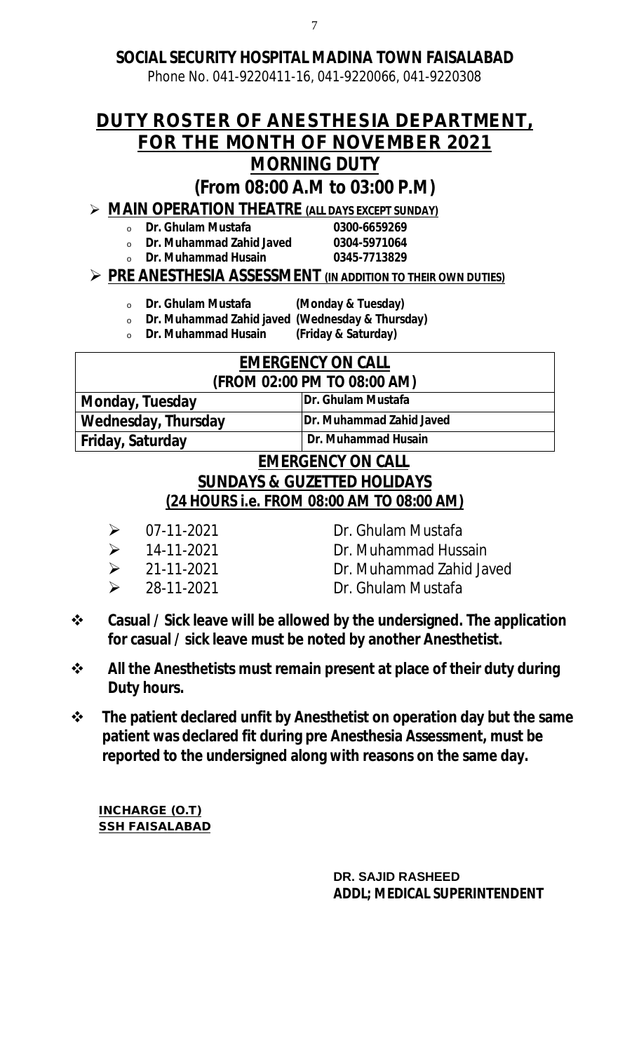Phone No. 041-9220411-16, 041-9220066, 041-9220308

# **DUTY ROSTER OF ANESTHESIA DEPARTMENT, FOR THE MONTH OF NOVEMBER 2021 MORNING DUTY**

# **(From 08:00 A.M to 03:00 P.M)**

# **MAIN OPERATION THEATRE (ALL DAYS EXCEPT SUNDAY)**

<sup>o</sup> **Dr. Ghulam Mustafa 0300-6659269** 

- <sup>o</sup> **Dr. Muhammad Zahid Javed 0304-5971064**
	- <sup>o</sup> **Dr. Muhammad Husain 0345-7713829**

# **PRE ANESTHESIA ASSESSMENT (IN ADDITION TO THEIR OWN DUTIES)**

- <sup>o</sup> **Dr. Ghulam Mustafa (Monday & Tuesday)**
- <sup>o</sup> **Dr. Muhammad Zahid javed (Wednesday & Thursday)**
- <sup>o</sup> **Dr. Muhammad Husain (Friday & Saturday)**

| <b>EMERGENCY ON CALL</b>                |                          |  |  |  |
|-----------------------------------------|--------------------------|--|--|--|
| (FROM 02:00 PM TO 08:00 AM)             |                          |  |  |  |
| <b>Monday, Tuesday</b>                  | Dr. Ghulam Mustafa       |  |  |  |
| <b>Wednesday, Thursday</b>              | Dr. Muhammad Zahid Javed |  |  |  |
| Dr. Muhammad Husain<br>Friday, Saturday |                          |  |  |  |
| <b>FMFRGFNCY ON CALL</b>                |                          |  |  |  |

# **EMERGENCY ON CALL SUNDAYS & GUZETTED HOLIDAYS (24 HOURS i.e. FROM 08:00 AM TO 08:00 AM)**

- 
- 
- 
- 
- $\geq$  07-11-2021 Dr. Ghulam Mustafa
- 14-11-2021 Dr. Muhammad Hussain
- 21-11-2021 Dr. Muhammad Zahid Javed
- 28-11-2021 Dr. Ghulam Mustafa
- **Casual / Sick leave will be allowed by the undersigned. The application for casual / sick leave must be noted by another Anesthetist.**
- **All the Anesthetists must remain present at place of their duty during Duty hours.**
- **The patient declared unfit by Anesthetist on operation day but the same patient was declared fit during pre Anesthesia Assessment, must be reported to the undersigned along with reasons on the same day.**

**INCHARGE (O.T) SSH FAISALABAD**

> **DR. SAJID RASHEED ADDL; MEDICAL SUPERINTENDENT**

7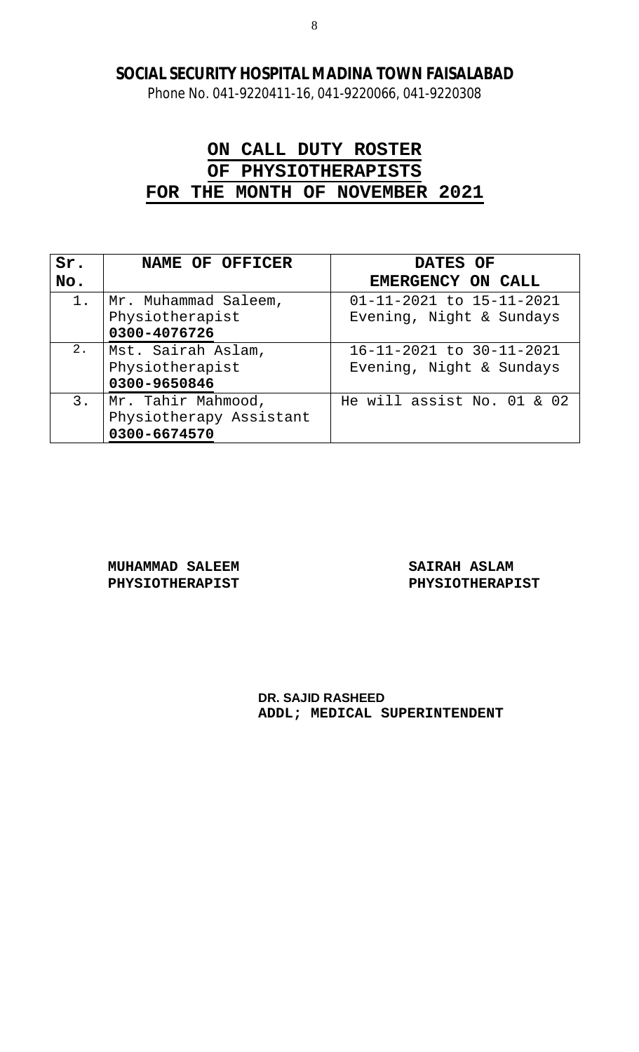Phone No. 041-9220411-16, 041-9220066, 041-9220308

# **ON CALL DUTY ROSTER OF PHYSIOTHERAPISTS FOR THE MONTH OF NOVEMBER 2021**

| Sr.   | NAME OF OFFICER         | DATES OF                   |
|-------|-------------------------|----------------------------|
| No.   |                         | EMERGENCY ON CALL          |
| $1$ . | Mr. Muhammad Saleem,    | 01-11-2021 to 15-11-2021   |
|       | Physiotherapist         | Evening, Night & Sundays   |
|       | 0300-4076726            |                            |
| $2$ . | Mst. Sairah Aslam,      | 16-11-2021 to 30-11-2021   |
|       | Physiotherapist         | Evening, Night & Sundays   |
|       | 0300-9650846            |                            |
| 3.    | Mr. Tahir Mahmood,      | He will assist No. 01 & 02 |
|       | Physiotherapy Assistant |                            |
|       | 0300-6674570            |                            |

**MUHAMMAD SALEEM SAIRAH ASLAM**

PHYSIOTHERAPIST PHYSIOTHERAPIST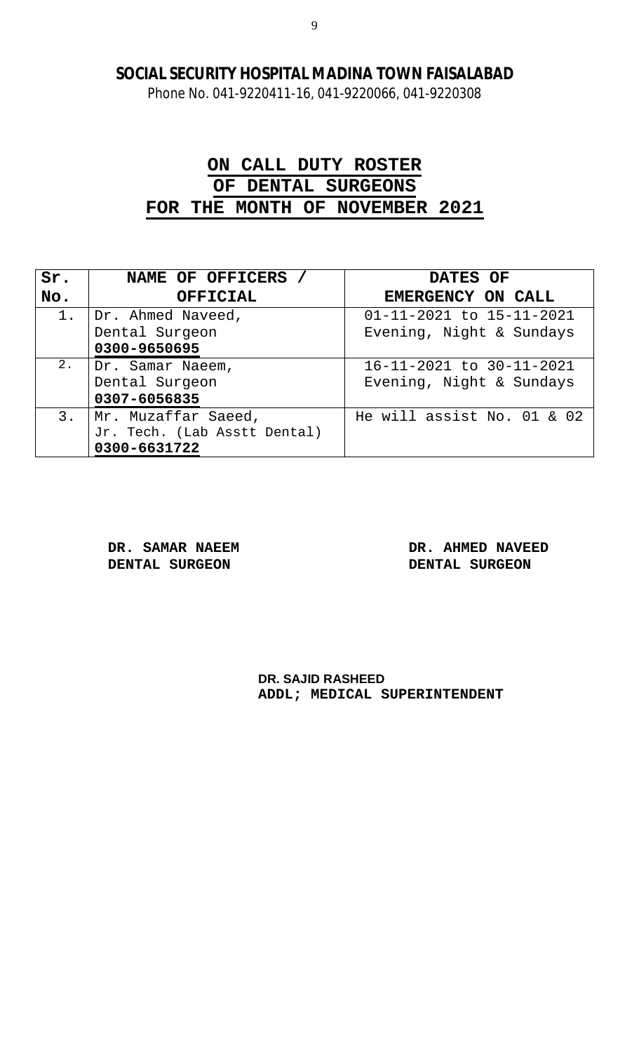Phone No. 041-9220411-16, 041-9220066, 041-9220308

# **ON CALL DUTY ROSTER OF DENTAL SURGEONS FOR THE MONTH OF NOVEMBER 2021**

| Sr.   | NAME OF OFFICERS             | DATES OF                   |
|-------|------------------------------|----------------------------|
| No.   | <b>OFFICIAL</b>              | EMERGENCY ON CALL          |
| $1$ . | Dr. Ahmed Naveed,            | 01-11-2021 to 15-11-2021   |
|       | Dental Surgeon               | Evening, Night & Sundays   |
|       | 0300-9650695                 |                            |
| 2.    | Dr. Samar Naeem,             | 16-11-2021 to 30-11-2021   |
|       | Dental Surgeon               | Evening, Night & Sundays   |
|       | 0307-6056835                 |                            |
| 3.    | Mr. Muzaffar Saeed,          | He will assist No. 01 & 02 |
|       | Jr. Tech. (Lab Asstt Dental) |                            |
|       | 0300-6631722                 |                            |

**DENTAL SURGEON DENTAL SURGEON**

**DR. SAMAR NAEEM DR. AHMED NAVEED**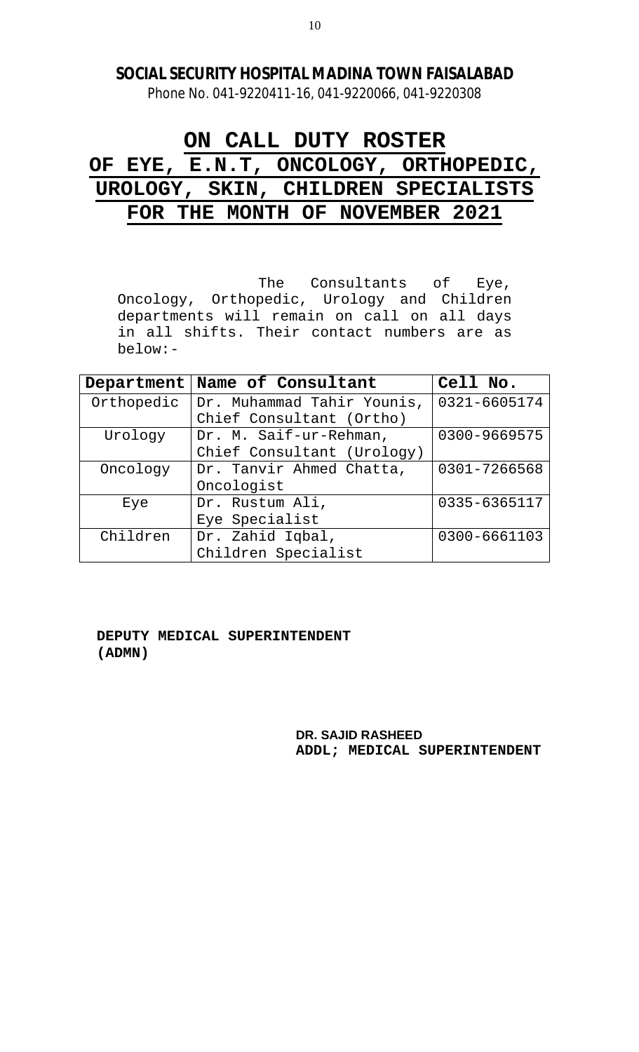Phone No. 041-9220411-16, 041-9220066, 041-9220308

# **ON CALL DUTY ROSTER OF EYE, E.N.T, ONCOLOGY, ORTHOPEDIC, UROLOGY, SKIN, CHILDREN SPECIALISTS FOR THE MONTH OF NOVEMBER 2021**

The Consultants of Eye, Oncology, Orthopedic, Urology and Children departments will remain on call on all days in all shifts. Their contact numbers are as below:-

| Department                   | Name of Consultant         | Cell No.     |
|------------------------------|----------------------------|--------------|
| Orthopedic                   | Dr. Muhammad Tahir Younis, | 0321-6605174 |
|                              | Chief Consultant (Ortho)   |              |
| Urology                      | Dr. M. Saif-ur-Rehman,     | 0300-9669575 |
|                              | Chief Consultant (Urology) |              |
| Oncology                     | Dr. Tanvir Ahmed Chatta,   | 0301-7266568 |
|                              | Oncologist                 |              |
| Eye                          | Dr. Rustum Ali,            | 0335-6365117 |
|                              | Eye Specialist             |              |
| Children<br>Dr. Zahid Iqbal, |                            | 0300-6661103 |
|                              | Children Specialist        |              |

 **DEPUTY MEDICAL SUPERINTENDENT (ADMN)**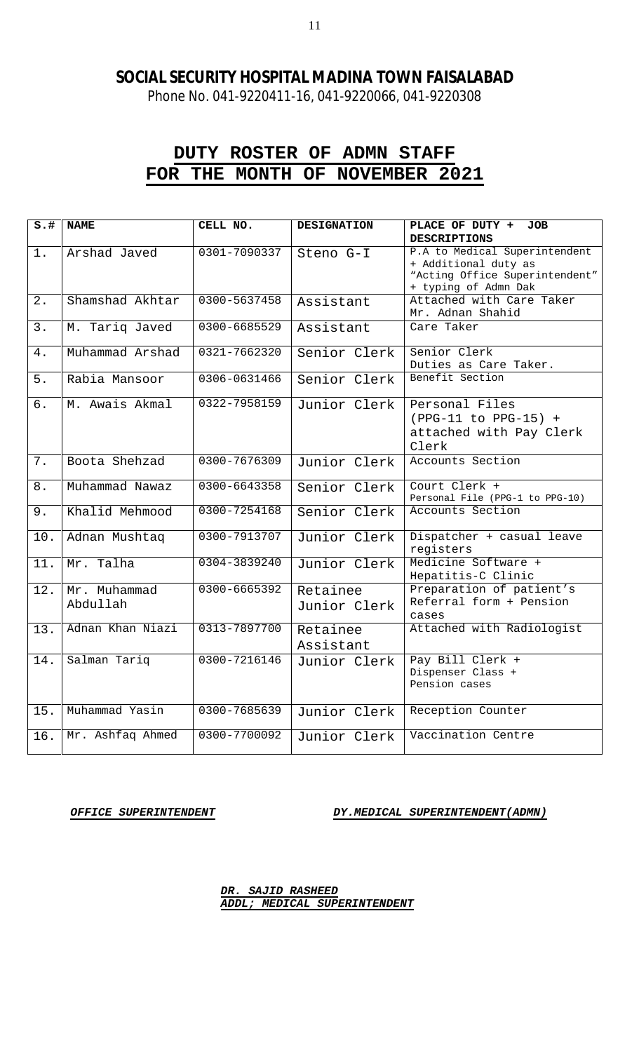Phone No. 041-9220411-16, 041-9220066, 041-9220308

# **DUTY ROSTER OF ADMN STAFF FOR THE MONTH OF NOVEMBER 2021**

| $s.+$            | <b>NAME</b>      | CELL NO.     | <b>DESIGNATION</b> | PLACE OF DUTY +<br><b>JOB</b>                         |
|------------------|------------------|--------------|--------------------|-------------------------------------------------------|
|                  |                  |              |                    | <b>DESCRIPTIONS</b>                                   |
| $1$ .            | Arshad Javed     | 0301-7090337 | Steno G-I          | P.A to Medical Superintendent<br>+ Additional duty as |
|                  |                  |              |                    | "Acting Office Superintendent"                        |
|                  |                  |              |                    | + typing of Admn Dak                                  |
| 2.               | Shamshad Akhtar  | 0300-5637458 | Assistant          | Attached with Care Taker                              |
|                  |                  |              |                    | Mr. Adnan Shahid                                      |
| 3.               | M. Tariq Javed   | 0300-6685529 | Assistant          | Care Taker                                            |
|                  |                  |              |                    |                                                       |
| 4.               | Muhammad Arshad  | 0321-7662320 | Senior Clerk       | Senior Clerk                                          |
|                  |                  |              |                    | Duties as Care Taker.                                 |
| 5.               | Rabia Mansoor    | 0306-0631466 | Senior Clerk       | Benefit Section                                       |
|                  |                  |              |                    |                                                       |
| $\overline{6}$ . | M. Awais Akmal   | 0322-7958159 | Junior Clerk       | Personal Files                                        |
|                  |                  |              |                    | $(PPG-11 to PPG-15) +$                                |
|                  |                  |              |                    | attached with Pay Clerk                               |
|                  |                  |              |                    | Clerk                                                 |
| 7.               | Boota Shehzad    | 0300-7676309 | Junior Clerk       | Accounts Section                                      |
|                  |                  |              |                    |                                                       |
| 8.               | Muhammad Nawaz   | 0300-6643358 | Senior Clerk       | Court Clerk +<br>Personal File (PPG-1 to PPG-10)      |
| 9.               | Khalid Mehmood   | 0300-7254168 | Senior Clerk       | Accounts Section                                      |
|                  |                  |              |                    |                                                       |
| 10.              | Adnan Mushtaq    | 0300-7913707 | Junior Clerk       | Dispatcher + casual leave                             |
|                  |                  |              |                    | registers                                             |
| 11.              | Mr. Talha        | 0304-3839240 | Junior Clerk       | Medicine Software +                                   |
|                  |                  |              |                    | Hepatitis-C Clinic                                    |
| 12.              | Mr. Muhammad     | 0300-6665392 | Retainee           | Preparation of patient's                              |
|                  | Abdullah         |              | Junior Clerk       | Referral form + Pension                               |
|                  |                  |              |                    | cases                                                 |
| 13.              | Adnan Khan Niazi | 0313-7897700 | Retainee           | Attached with Radiologist                             |
|                  |                  |              | Assistant          |                                                       |
| 14.              | Salman Tariq     | 0300-7216146 | Junior Clerk       | Pay Bill Clerk +                                      |
|                  |                  |              |                    | Dispenser Class +                                     |
|                  |                  |              |                    | Pension cases                                         |
|                  |                  |              |                    |                                                       |
| 15.              | Muhammad Yasin   | 0300-7685639 | Junior Clerk       | Reception Counter                                     |
| 16.              | Mr. Ashfaq Ahmed | 0300-7700092 | Junior Clerk       | Vaccination Centre                                    |
|                  |                  |              |                    |                                                       |

*OFFICE SUPERINTENDENT DY.MEDICAL SUPERINTENDENT(ADMN)*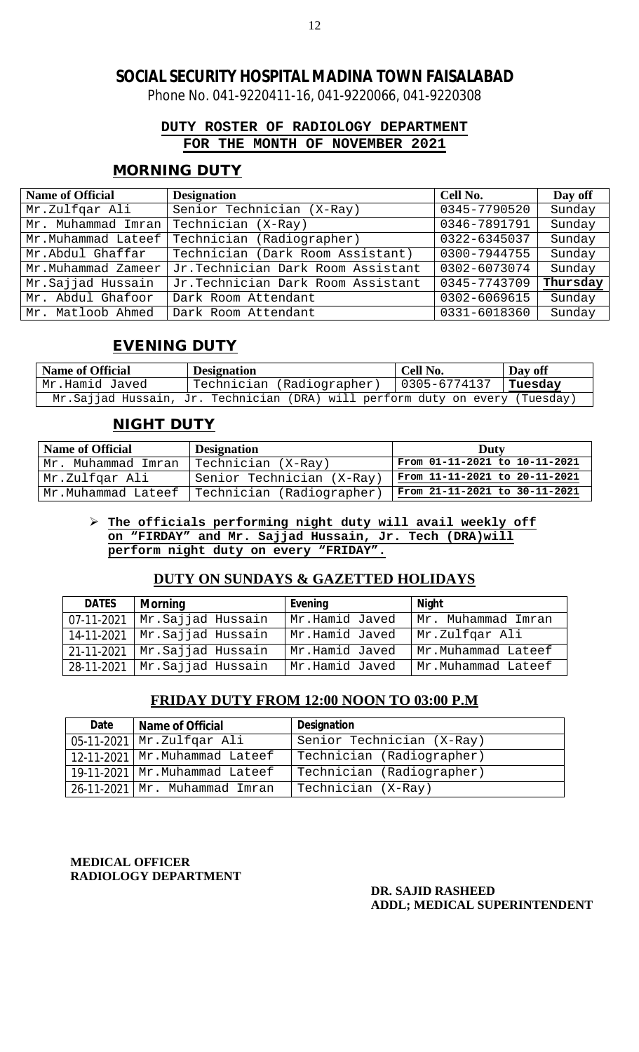Phone No. 041-9220411-16, 041-9220066, 041-9220308

### **DUTY ROSTER OF RADIOLOGY DEPARTMENT FOR THE MONTH OF NOVEMBER 2021**

### **MORNING DUTY**

| <b>Name of Official</b> | <b>Designation</b>                | Cell No.     | Day off  |
|-------------------------|-----------------------------------|--------------|----------|
| Mr.Zulfqar Ali          | Senior Technician (X-Ray)         | 0345-7790520 | Sunday   |
| Mr. Muhammad Imran      | Technician (X-Ray)                | 0346-7891791 | Sunday   |
| Mr.Muhammad Lateef      | Technician (Radiographer)         | 0322-6345037 | Sunday   |
| Mr.Abdul Ghaffar        | Technician (Dark Room Assistant)  | 0300-7944755 | Sunday   |
| Mr.Muhammad Zameer      | Jr.Technician Dark Room Assistant | 0302-6073074 | Sunday   |
| Mr.Sajjad Hussain       | Jr.Technician Dark Room Assistant | 0345-7743709 | Thursday |
| Mr. Abdul Ghafoor       | Dark Room Attendant               | 0302-6069615 | Sunday   |
| Mr. Matloob Ahmed       | Dark Room Attendant               | 0331-6018360 | Sunday   |

### **EVENING DUTY**

| <b>Name of Official</b> | <b>Designation</b>                                                           | Cell No.     | Day off |
|-------------------------|------------------------------------------------------------------------------|--------------|---------|
| Mr.Hamid Javed          | Technician (Radiographer)                                                    | 0305-6774137 | Tuesday |
|                         | Mr.Sajjad Hussain, Jr. Technician (DRA) will perform duty on every (Tuesday) |              |         |

### **NIGHT DUTY**

| <b>Name of Official</b> | <b>Designation</b>        | Duty                          |
|-------------------------|---------------------------|-------------------------------|
| Mr. Muhammad Imran      | Technician (X-Ray)        | From 01-11-2021 to 10-11-2021 |
| Mr.Zulfqar Ali          | Senior Technician (X-Ray) | From 11-11-2021 to 20-11-2021 |
| Mr.Muhammad Lateef      | Technician (Radiographer) | From 21-11-2021 to 30-11-2021 |

#### **The officials performing night duty will avail weekly off on "FIRDAY" and Mr. Sajjad Hussain, Jr. Tech (DRA)will perform night duty on every "FRIDAY".**

### **DUTY ON SUNDAYS & GAZETTED HOLIDAYS**

| <b>DATES</b> | <b>Morning</b>                    | Evening        | <b>Night</b>       |
|--------------|-----------------------------------|----------------|--------------------|
| 07-11-2021   | Mr.Sajjad Hussain                 | Mr.Hamid Javed | Mr. Muhammad Imran |
|              | 14-11-2021   Mr. Sajjad Hussain   | Mr.Hamid Javed | Mr.Zulfgar Ali     |
|              | $21-11-2021$   Mr. Sajjad Hussain | Mr.Hamid Javed | Mr.Muhammad Lateef |
|              | $28-11-2021$   Mr. Sajjad Hussain | Mr.Hamid Javed | Mr.Muhammad Lateef |

### **FRIDAY DUTY FROM 12:00 NOON TO 03:00 P.M**

| Date | Name of Official                | <b>Designation</b>        |
|------|---------------------------------|---------------------------|
|      | 05-11-2021   Mr. Zulfqar Ali    | Senior Technician (X-Ray) |
|      | 12-11-2021   Mr.Muhammad Lateef | Technician (Radiographer) |
|      | 19-11-2021 Mr.Muhammad Lateef   | Technician (Radiographer) |
|      | 26-11-2021   Mr. Muhammad Imran | Technician (X-Ray)        |

**MEDICAL OFFICER RADIOLOGY DEPARTMENT**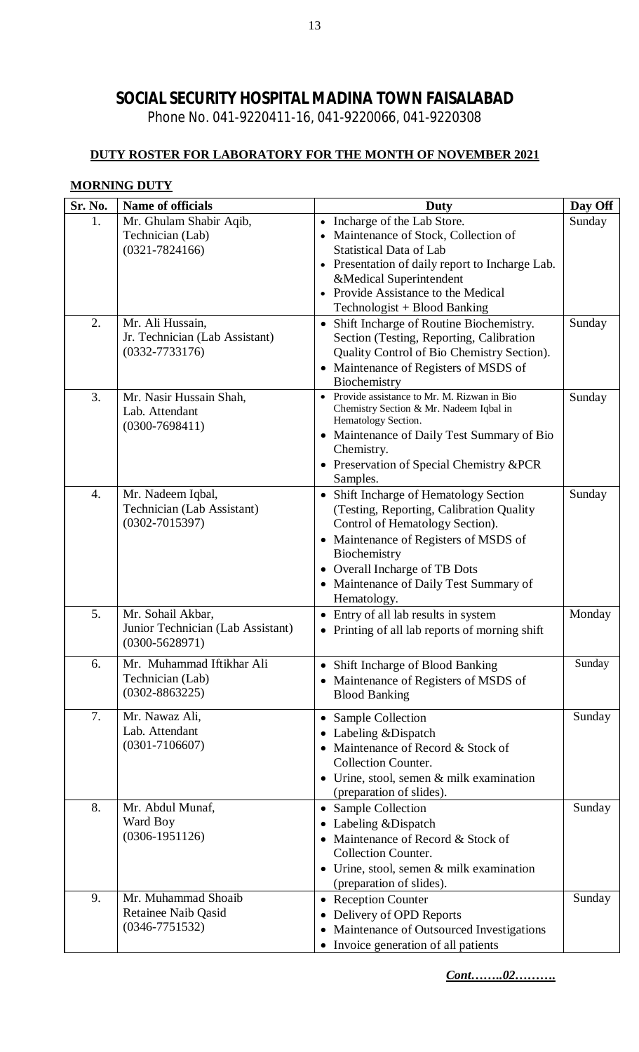Phone No. 041-9220411-16, 041-9220066, 041-9220308

### **DUTY ROSTER FOR LABORATORY FOR THE MONTH OF NOVEMBER 2021**

### **MORNING DUTY**

| Sr. No. | Name of officials                                                            | Duty                                                                                                                                                                                                                                                                   | Day Off |
|---------|------------------------------------------------------------------------------|------------------------------------------------------------------------------------------------------------------------------------------------------------------------------------------------------------------------------------------------------------------------|---------|
| 1.      | Mr. Ghulam Shabir Aqib,<br>Technician (Lab)<br>$(0321 - 7824166)$            | Incharge of the Lab Store.<br>Maintenance of Stock, Collection of<br><b>Statistical Data of Lab</b><br>Presentation of daily report to Incharge Lab.<br>&Medical Superintendent<br>Provide Assistance to the Medical<br>Technologist + Blood Banking                   | Sunday  |
| 2.      | Mr. Ali Hussain,<br>Jr. Technician (Lab Assistant)<br>$(0332 - 7733176)$     | Shift Incharge of Routine Biochemistry.<br>$\bullet$<br>Section (Testing, Reporting, Calibration<br>Quality Control of Bio Chemistry Section).<br>Maintenance of Registers of MSDS of<br>$\bullet$<br>Biochemistry                                                     | Sunday  |
| 3.      | Mr. Nasir Hussain Shah,<br>Lab. Attendant<br>$(0300 - 7698411)$              | Provide assistance to Mr. M. Rizwan in Bio<br>Chemistry Section & Mr. Nadeem Iqbal in<br>Hematology Section.<br>• Maintenance of Daily Test Summary of Bio<br>Chemistry.<br>Preservation of Special Chemistry &PCR<br>Samples.                                         | Sunday  |
| 4.      | Mr. Nadeem Iqbal,<br>Technician (Lab Assistant)<br>$(0302 - 7015397)$        | • Shift Incharge of Hematology Section<br>(Testing, Reporting, Calibration Quality<br>Control of Hematology Section).<br>Maintenance of Registers of MSDS of<br>Biochemistry<br>• Overall Incharge of TB Dots<br>• Maintenance of Daily Test Summary of<br>Hematology. | Sunday  |
| 5.      | Mr. Sohail Akbar,<br>Junior Technician (Lab Assistant)<br>$(0300 - 5628971)$ | Entry of all lab results in system<br>• Printing of all lab reports of morning shift                                                                                                                                                                                   | Monday  |
| 6.      | Mr. Muhammad Iftikhar Ali<br>Technician (Lab)<br>$(0302 - 8863225)$          | Shift Incharge of Blood Banking<br>Maintenance of Registers of MSDS of<br><b>Blood Banking</b>                                                                                                                                                                         | Sunday  |
| 7.      | Mr. Nawaz Ali,<br>Lab. Attendant<br>$(0301 - 7106607)$                       | Sample Collection<br>$\bullet$<br>Labeling & Dispatch<br>Maintenance of Record & Stock of<br><b>Collection Counter.</b><br>Urine, stool, semen & milk examination<br>$\bullet$<br>(preparation of slides).                                                             | Sunday  |
| 8.      | Mr. Abdul Munaf,<br>Ward Boy<br>$(0306 - 1951126)$                           | Sample Collection<br>Labeling & Dispatch<br>Maintenance of Record & Stock of<br><b>Collection Counter.</b><br>• Urine, stool, semen $&$ milk examination<br>(preparation of slides).                                                                                   | Sunday  |
| 9.      | Mr. Muhammad Shoaib<br>Retainee Naib Qasid<br>$(0346 - 7751532)$             | • Reception Counter<br>Delivery of OPD Reports<br>Maintenance of Outsourced Investigations<br>• Invoice generation of all patients                                                                                                                                     | Sunday  |

*Cont……..02……….*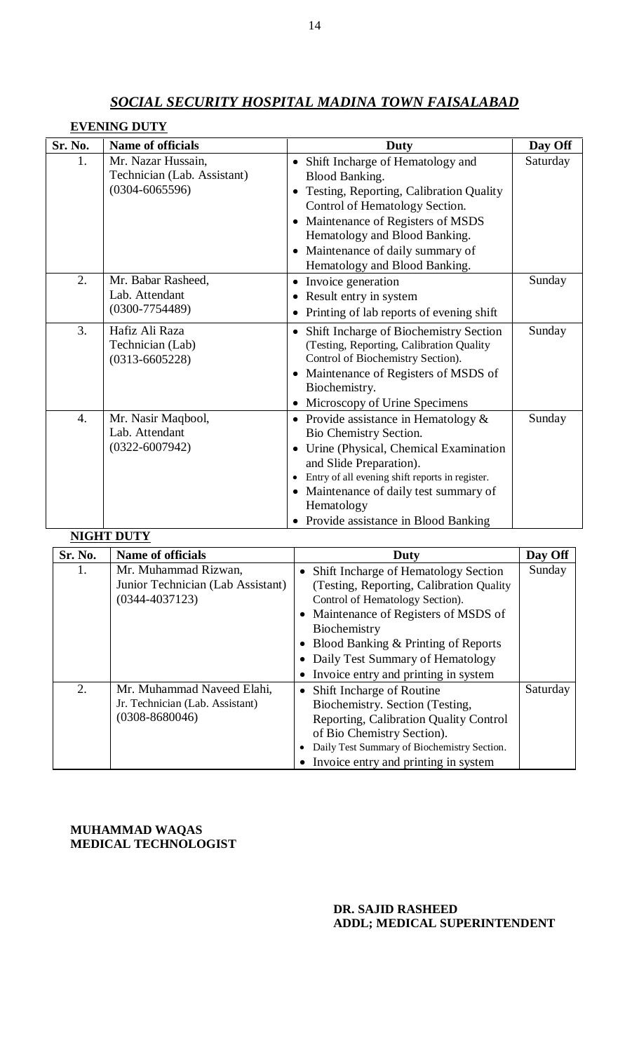# **EVENING DUTY**

| Mr. Nazar Hussain,<br>1.<br>Shift Incharge of Hematology and<br>$\bullet$<br>Technician (Lab. Assistant)<br><b>Blood Banking.</b><br>$(0304 - 6065596)$<br>Testing, Reporting, Calibration Quality<br>$\bullet$<br>Control of Hematology Section.<br>Maintenance of Registers of MSDS<br>Hematology and Blood Banking.<br>Maintenance of daily summary of<br>$\bullet$<br>Hematology and Blood Banking.<br>2.<br>Mr. Babar Rasheed,<br>Invoice generation<br>٠<br>Lab. Attendant<br>Result entry in system<br>$(0300 - 7754489)$<br>Printing of lab reports of evening shift<br>3.<br>Hafiz Ali Raza<br>Shift Incharge of Biochemistry Section<br>Technician (Lab)<br>(Testing, Reporting, Calibration Quality)<br>Control of Biochemistry Section).<br>$(0313 - 6605228)$<br>Maintenance of Registers of MSDS of<br>Biochemistry.<br>Microscopy of Urine Specimens<br>Mr. Nasir Maqbool,<br>$\overline{4}$ .<br>• Provide assistance in Hematology $&$<br>Lab. Attendant<br>Bio Chemistry Section.<br>$(0322 - 6007942)$<br>Urine (Physical, Chemical Examination<br>$\bullet$ | Sr. No. | <b>Name of officials</b> | Duty                    | Day Off  |
|---------------------------------------------------------------------------------------------------------------------------------------------------------------------------------------------------------------------------------------------------------------------------------------------------------------------------------------------------------------------------------------------------------------------------------------------------------------------------------------------------------------------------------------------------------------------------------------------------------------------------------------------------------------------------------------------------------------------------------------------------------------------------------------------------------------------------------------------------------------------------------------------------------------------------------------------------------------------------------------------------------------------------------------------------------------------------------|---------|--------------------------|-------------------------|----------|
|                                                                                                                                                                                                                                                                                                                                                                                                                                                                                                                                                                                                                                                                                                                                                                                                                                                                                                                                                                                                                                                                                 |         |                          |                         | Saturday |
|                                                                                                                                                                                                                                                                                                                                                                                                                                                                                                                                                                                                                                                                                                                                                                                                                                                                                                                                                                                                                                                                                 |         |                          |                         | Sunday   |
|                                                                                                                                                                                                                                                                                                                                                                                                                                                                                                                                                                                                                                                                                                                                                                                                                                                                                                                                                                                                                                                                                 |         |                          |                         | Sunday   |
| Entry of all evening shift reports in register.<br>$\bullet$<br>Maintenance of daily test summary of<br>Hematology<br>Provide assistance in Blood Banking<br><b>NIGHT DUTY</b>                                                                                                                                                                                                                                                                                                                                                                                                                                                                                                                                                                                                                                                                                                                                                                                                                                                                                                  |         |                          | and Slide Preparation). | Sunday   |

**Sr. No. Name of officials Duty Duty Day Off** 1. Mr. Muhammad Rizwan, Junior Technician (Lab Assistant) (0344-4037123) • Shift Incharge of Hematology Section (Testing, Reporting, Calibration Quality Control of Hematology Section). • Maintenance of Registers of MSDS of Biochemistry • Blood Banking & Printing of Reports Daily Test Summary of Hematology • Invoice entry and printing in system Sunday 2. Mr. Muhammad Naveed Elahi, Jr. Technician (Lab. Assistant) (0308-8680046) • Shift Incharge of Routine Biochemistry. Section (Testing, Reporting, Calibration Quality Control of Bio Chemistry Section). • Daily Test Summary of Biochemistry Section. • Invoice entry and printing in system Saturday

**MUHAMMAD WAQAS MEDICAL TECHNOLOGIST**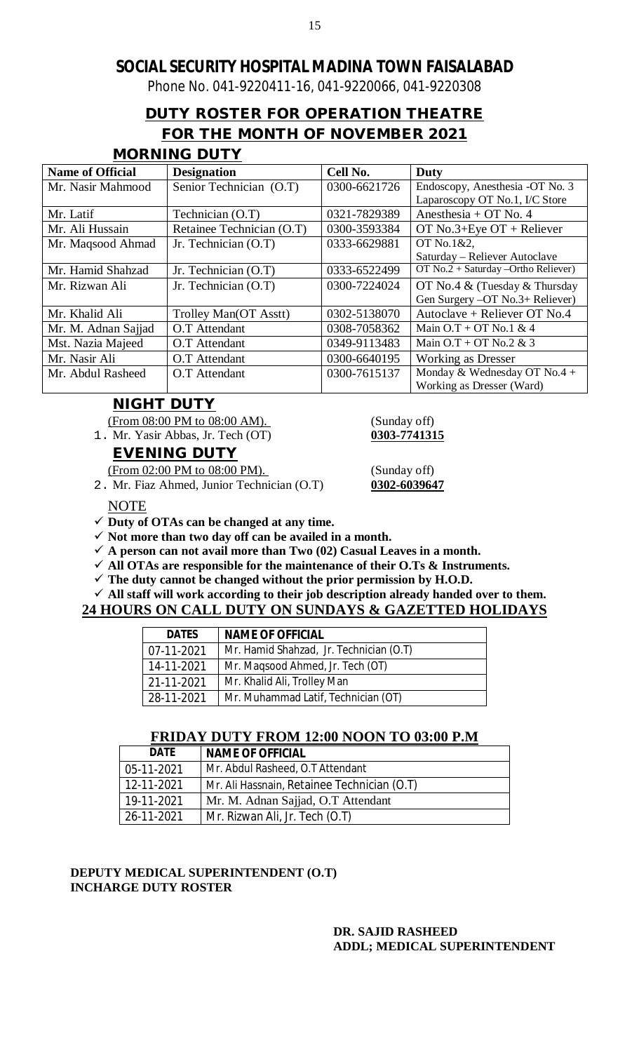Phone No. 041-9220411-16, 041-9220066, 041-9220308

# **DUTY ROSTER FOR OPERATION THEATRE FOR THE MONTH OF NOVEMBER 2021**

# **MORNING DUTY**

| <b>Name of Official</b> | <b>Designation</b>        | Cell No.     | Duty                                |
|-------------------------|---------------------------|--------------|-------------------------------------|
| Mr. Nasir Mahmood       | Senior Technician (O.T)   | 0300-6621726 | Endoscopy, Anesthesia -OT No. 3     |
|                         |                           |              | Laparoscopy OT No.1, I/C Store      |
| Mr. Latif               | Technician (O.T)          | 0321-7829389 | Anesthesia + OT No. 4               |
| Mr. Ali Hussain         | Retainee Technician (O.T) | 0300-3593384 | OT No.3+Eye $OT +$ Reliever         |
| Mr. Maqsood Ahmad       | Jr. Technician $(O.T)$    | 0333-6629881 | OT No.1&2,                          |
|                         |                           |              | Saturday – Reliever Autoclave       |
| Mr. Hamid Shahzad       | Jr. Technician $(O.T)$    | 0333-6522499 | OT No.2 + Saturday -Ortho Reliever) |
| Mr. Rizwan Ali          | Jr. Technician (O.T)      | 0300-7224024 | OT No.4 & (Tuesday & Thursday       |
|                         |                           |              | Gen Surgery -OT No.3+ Reliever)     |
| Mr. Khalid Ali          | Trolley Man(OT Asstt)     | 0302-5138070 | Autoclave + Reliever OT No.4        |
| Mr. M. Adnan Sajjad     | O.T Attendant             | 0308-7058362 | Main $O.T + OT$ No.1 & 4            |
| Mst. Nazia Majeed       | O.T Attendant             | 0349-9113483 | Main $O.T + OT$ No.2 & 3            |
| Mr. Nasir Ali           | O.T Attendant             | 0300-6640195 | <b>Working as Dresser</b>           |
| Mr. Abdul Rasheed       | O.T Attendant             | 0300-7615137 | Monday & Wednesday OT No.4 +        |
|                         |                           |              | Working as Dresser (Ward)           |

# **NIGHT DUTY**

(From 08:00 PM to 08:00 AM). (Sunday off) 1. Mr. Yasir Abbas, Jr. Tech (OT) **0303-7741315**

# **EVENING DUTY**

(From 02:00 PM to 08:00 PM). (Sunday off)

2. Mr. Fiaz Ahmed, Junior Technician (O.T) **0302-6039647**

NOTE

**Duty of OTAs can be changed at any time.** 

 $\checkmark$  Not more than two day off can be availed in a month.

 $\checkmark$  A person can not avail more than Two (02) Casual Leaves in a month.

**All OTAs are responsible for the maintenance of their O.Ts & Instruments.**

 $\checkmark$  The duty cannot be changed without the prior permission by H.O.D.

 **All staff will work according to their job description already handed over to them. 24 HOURS ON CALL DUTY ON SUNDAYS & GAZETTED HOLIDAYS**

| <b>DATES</b><br><b>NAME OF OFFICIAL</b> |                                         |
|-----------------------------------------|-----------------------------------------|
| 07-11-2021                              | Mr. Hamid Shahzad, Jr. Technician (O.T) |
| 14-11-2021                              | Mr. Magsood Ahmed, Jr. Tech (OT)        |
| 21-11-2021                              | Mr. Khalid Ali, Trolley Man             |
| 28-11-2021                              | Mr. Muhammad Latif, Technician (OT)     |

### **FRIDAY DUTY FROM 12:00 NOON TO 03:00 P.M**

| <b>DATE</b> | <b>NAME OF OFFICIAL</b>                     |
|-------------|---------------------------------------------|
| 05-11-2021  | Mr. Abdul Rasheed, O.T Attendant            |
| 12-11-2021  | Mr. Ali Hassnain, Retainee Technician (O.T) |
| 19-11-2021  | Mr. M. Adnan Sajjad, O.T Attendant          |
| 26-11-2021  | Mr. Rizwan Ali, Jr. Tech (O.T)              |

### **DEPUTY MEDICAL SUPERINTENDENT (O.T) INCHARGE DUTY ROSTER**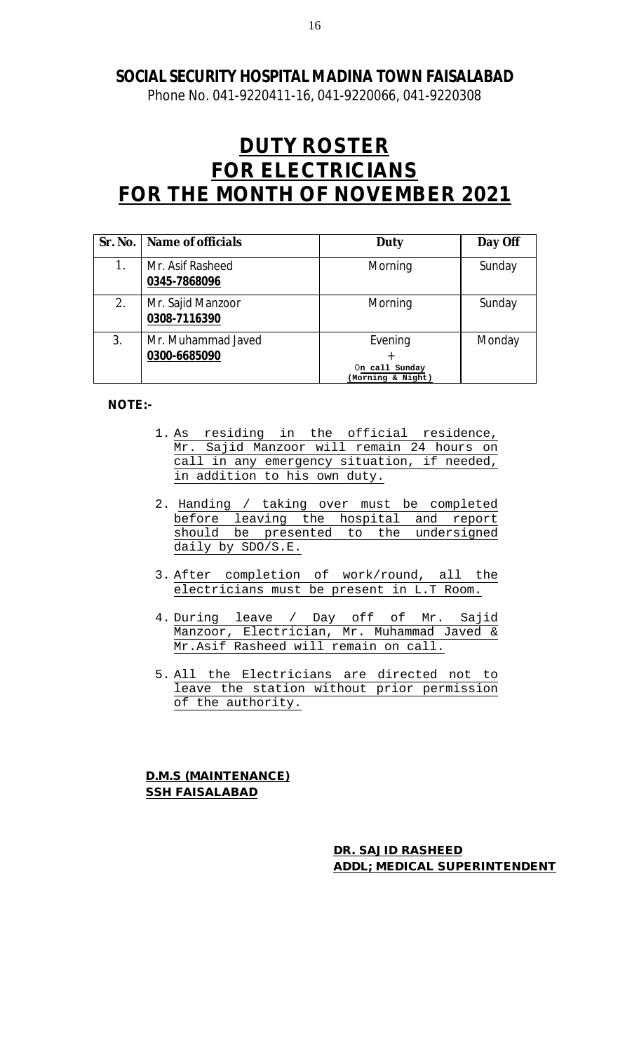Phone No. 041-9220411-16, 041-9220066, 041-9220308

# **DUTY ROSTER FOR ELECTRICIANS FOR THE MONTH OF NOVEMBER 2021**

|    | Sr. No.   Name of officials        | Duty                                           | Day Off |
|----|------------------------------------|------------------------------------------------|---------|
| 1. | Mr. Asif Rasheed<br>0345-7868096   | Morning                                        | Sunday  |
| 2. | Mr. Sajid Manzoor<br>0308-7116390  | Morning                                        | Sunday  |
| 3. | Mr. Muhammad Javed<br>0300-6685090 | Evening<br>On call Sunday<br>(Morning & Night) | Monday  |

### **NOTE:-**

- 1. As residing in the official residence, Mr. Sajid Manzoor will remain 24 hours on call in any emergency situation, if needed, in addition to his own duty.
- 2. Handing / taking over must be completed before leaving the hospital and report should be presented to the undersigned daily by SDO/S.E.
- 3. After completion of work/round, all the electricians must be present in L.T Room.
- 4. During leave / Day off of Mr. Sajid Manzoor, Electrician, Mr. Muhammad Javed & Mr.Asif Rasheed will remain on call.
- 5. All the Electricians are directed not to leave the station without prior permission of the authority.

**D.M.S (MAINTENANCE) SSH FAISALABAD**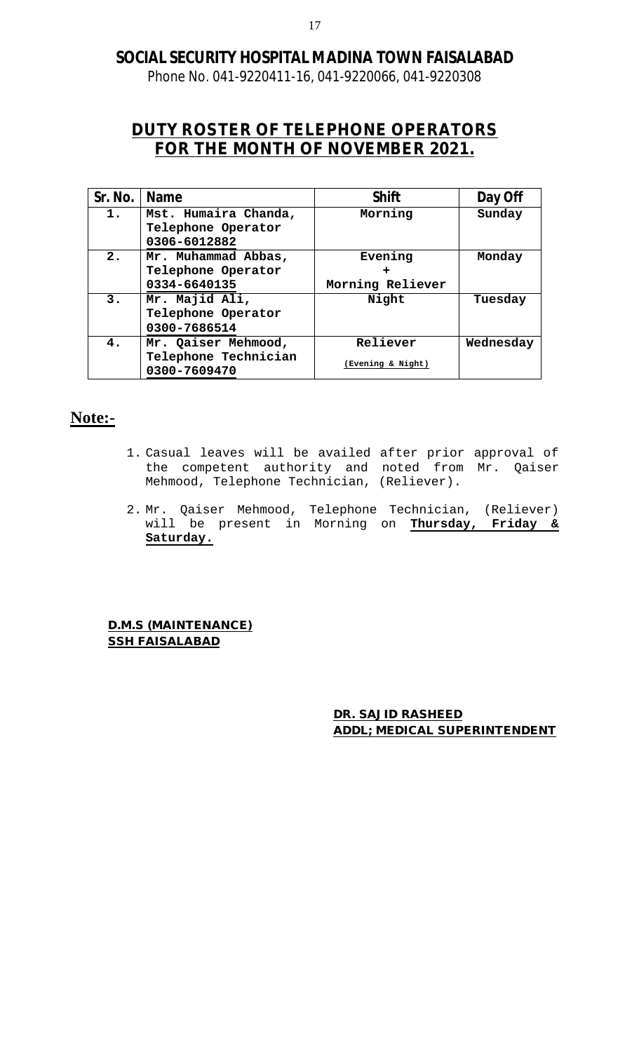Phone No. 041-9220411-16, 041-9220066, 041-9220308

# **DUTY ROSTER OF TELEPHONE OPERATORS FOR THE MONTH OF NOVEMBER 2021.**

| Sr. No. | Name                                                 | <b>Shift</b>      | Day Off   |
|---------|------------------------------------------------------|-------------------|-----------|
| 1.      | Mst. Humaira Chanda,<br>Telephone Operator           | Morning           | Sunday    |
|         | 0306-6012882                                         |                   |           |
| 2.      | Mr. Muhammad Abbas,                                  | Evening           | Monday    |
|         | Telephone Operator                                   |                   |           |
|         | 0334-6640135                                         | Morning Reliever  |           |
| 3.      | Mr. Majid Ali,<br>Telephone Operator<br>0300-7686514 | Night             | Tuesday   |
| 4.      | Mr. Qaiser Mehmood,                                  | Reliever          | Wednesday |
|         | Telephone Technician<br>0300-7609470                 | (Evening & Night) |           |

# **Note:-**

- 1. Casual leaves will be availed after prior approval of the competent authority and noted from Mr. Qaiser Mehmood, Telephone Technician, (Reliever).
- 2. Mr. Qaiser Mehmood, Telephone Technician, (Reliever) will be present in Morning on **Thursday, Friday & Saturday.**

**D.M.S (MAINTENANCE) SSH FAISALABAD**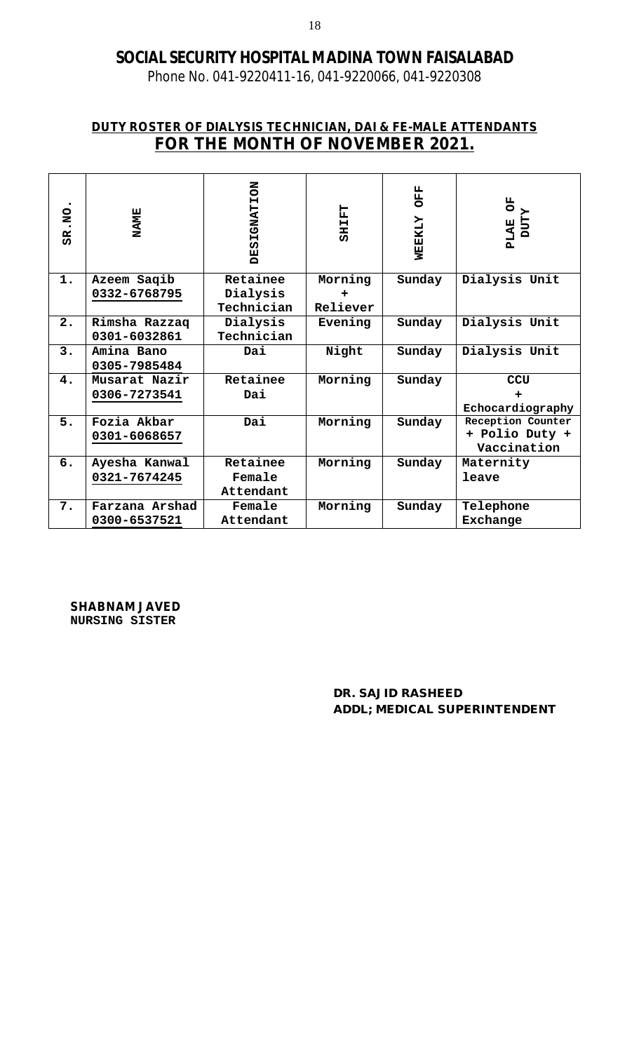Phone No. 041-9220411-16, 041-9220066, 041-9220308

### **DUTY ROSTER OF DIALYSIS TECHNICIAN, DAI & FE-MALE ATTENDANTS FOR THE MONTH OF NOVEMBER 2021.**

| SR.NO | <b>NAME</b>    | <b>DESIGNATION</b> | <b>TAIRS</b> | <b>GEE</b><br>WEEKLY | Đ<br><b>ZLLO</b><br><b>PLAE</b> |
|-------|----------------|--------------------|--------------|----------------------|---------------------------------|
| 1.    | Azeem Saqib    | Retainee           | Morning      | Sunday               | Dialysis Unit                   |
|       | 0332-6768795   | Dialysis           |              |                      |                                 |
|       |                | Technician         | Reliever     |                      |                                 |
| 2.    | Rimsha Razzaq  | Dialysis           | Evening      | Sunday               | Dialysis Unit                   |
|       | 0301-6032861   | Technician         |              |                      |                                 |
| 3.    | Amina Bano     | Dai                | Night        | Sunday               | Dialysis Unit                   |
|       | 0305-7985484   |                    |              |                      |                                 |
| 4.    | Musarat Nazir  | Retainee           | Morning      | Sunday               | <b>CCU</b>                      |
|       | 0306-7273541   | Dai                |              |                      |                                 |
|       |                |                    |              |                      | Echocardiography                |
| 5.    | Fozia Akbar    | Dai                | Morning      | Sunday               | Reception Counter               |
|       | 0301-6068657   |                    |              |                      | + Polio Duty +                  |
|       |                |                    |              |                      | Vaccination                     |
| 6.    | Ayesha Kanwal  | Retainee           | Morning      | Sunday               | Maternity                       |
|       | 0321-7674245   | Female             |              |                      | leave                           |
|       |                | Attendant          |              |                      |                                 |
| 7.    | Farzana Arshad | Female             | Morning      | Sunday               | Telephone                       |
|       | 0300-6537521   | Attendant          |              |                      | Exchange                        |

**SHABNAM JAVED NURSING SISTER**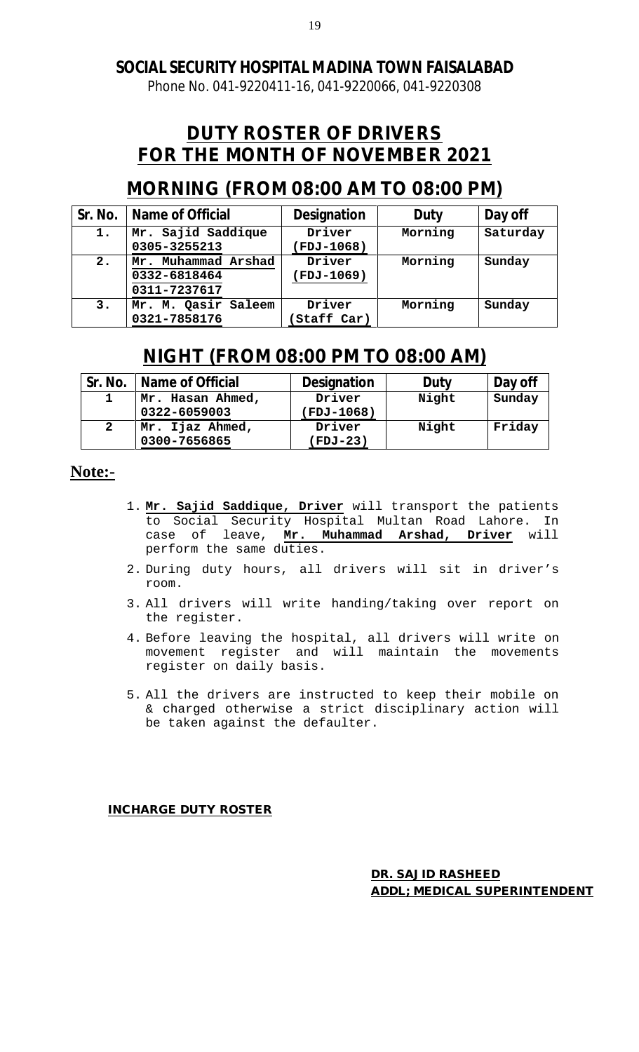Phone No. 041-9220411-16, 041-9220066, 041-9220308

# **DUTY ROSTER OF DRIVERS FOR THE MONTH OF NOVEMBER 2021**

# **MORNING (FROM 08:00 AM TO 08:00 PM)**

|    | Sr. No.   Name of Official                          | <b>Designation</b>         | Duty    | Day off  |
|----|-----------------------------------------------------|----------------------------|---------|----------|
| 1. | Mr. Sajid Saddique<br>0305-3255213                  | Driver<br><b>FDJ-1068)</b> | Morning | Saturday |
| 2. | Mr. Muhammad Arshad<br>0332-6818464<br>0311-7237617 | Driver<br><b>FDJ-1069)</b> | Morning | Sunday   |
| 3. | Mr. M. Qasir Saleem<br>0321-7858176                 | Driver<br>Staff Car)       | Morning | Sunday   |

# **NIGHT (FROM 08:00 PM TO 08:00 AM)**

| Sr. No. | Name of Official | <b>Designation</b> | Duty  | Day off |
|---------|------------------|--------------------|-------|---------|
|         | Mr. Hasan Ahmed, | Driver             | Night | Sunday  |
|         | 0322-6059003     | <b>FDJ-1068)</b>   |       |         |
|         | Mr. Ijaz Ahmed,  | Driver             | Night | Friday  |
|         | 0300-7656865     | (FDJ-23)           |       |         |

# **Note:-**

- 1. **Mr. Sajid Saddique, Driver** will transport the patients to Social Security Hospital Multan Road Lahore. In case of leave, **Mr. Muhammad Arshad, Driver** will perform the same duties.
- 2. During duty hours, all drivers will sit in driver's room.
- 3. All drivers will write handing/taking over report on the register.
- 4. Before leaving the hospital, all drivers will write on movement register and will maintain the movements register on daily basis.
- 5. All the drivers are instructed to keep their mobile on & charged otherwise a strict disciplinary action will be taken against the defaulter.

**INCHARGE DUTY ROSTER**

**DR. SAJID RASHEED ADDL; MEDICAL SUPERINTENDENT**

19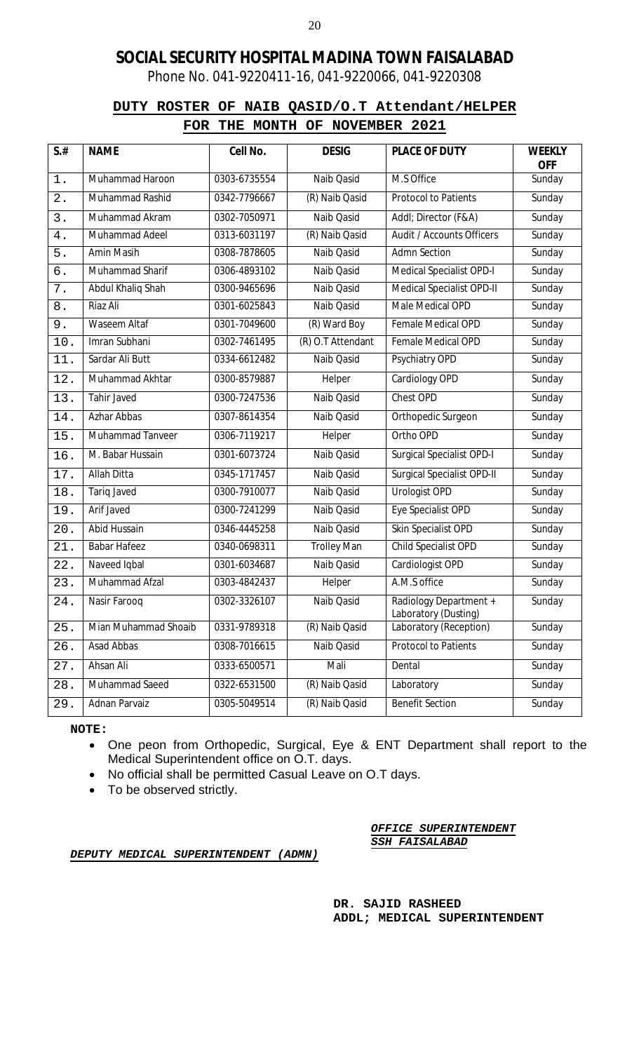Phone No. 041-9220411-16, 041-9220066, 041-9220308

### **DUTY ROSTER OF NAIB QASID/O.T Attendant/HELPER FOR THE MONTH OF NOVEMBER 2021**

| $S$ .# | <b>NAME</b>          | Cell No.     | <b>DESIG</b>       | <b>PLACE OF DUTY</b>                           | <b>WEEKLY</b><br><b>OFF</b> |
|--------|----------------------|--------------|--------------------|------------------------------------------------|-----------------------------|
| $1$ .  | Muhammad Haroon      | 0303-6735554 | Naib Qasid         | M.S Office                                     | Sunday                      |
| 2.     | Muhammad Rashid      | 0342-7796667 | (R) Naib Qasid     | <b>Protocol to Patients</b>                    | Sunday                      |
| 3.     | Muhammad Akram       | 0302-7050971 | Naib Qasid         | Addl; Director (F&A)                           | Sunday                      |
| 4.     | Muhammad Adeel       | 0313-6031197 | (R) Naib Qasid     | Audit / Accounts Officers                      | Sunday                      |
| 5.     | Amin Masih           | 0308-7878605 | Naib Qasid         | <b>Admn Section</b>                            | Sunday                      |
| б.     | Muhammad Sharif      | 0306-4893102 | Naib Qasid         | <b>Medical Specialist OPD-I</b>                | Sunday                      |
| 7.     | Abdul Khaliq Shah    | 0300-9465696 | Naib Qasid         | Medical Specialist OPD-II                      | Sunday                      |
| $8$ .  | Riaz Ali             | 0301-6025843 | Naib Qasid         | Male Medical OPD                               | Sunday                      |
| 9.     | <b>Waseem Altaf</b>  | 0301-7049600 | (R) Ward Boy       | Female Medical OPD                             | Sunday                      |
| 10.    | Imran Subhani        | 0302-7461495 | (R) O.T Attendant  | <b>Female Medical OPD</b>                      | Sunday                      |
| 11.    | Sardar Ali Butt      | 0334-6612482 | Naib Qasid         | Psychiatry OPD                                 | Sunday                      |
| 12.    | Muhammad Akhtar      | 0300-8579887 | Helper             | Cardiology OPD                                 | Sunday                      |
| 13.    | Tahir Javed          | 0300-7247536 | Naib Qasid         | Chest OPD                                      | Sunday                      |
| 14.    | Azhar Abbas          | 0307-8614354 | Naib Qasid         | Orthopedic Surgeon                             | Sunday                      |
| 15.    | Muhammad Tanveer     | 0306-7119217 | Helper             | Ortho OPD                                      | Sunday                      |
| 16.    | M. Babar Hussain     | 0301-6073724 | Naib Qasid         | <b>Surgical Specialist OPD-I</b>               | Sunday                      |
| 17.    | <b>Allah Ditta</b>   | 0345-1717457 | Naib Qasid         | <b>Surgical Specialist OPD-II</b>              | Sunday                      |
| 18.    | Tariq Javed          | 0300-7910077 | Naib Qasid         | Urologist OPD                                  | Sunday                      |
| 19.    | Arif Javed           | 0300-7241299 | Naib Qasid         | Eye Specialist OPD                             | Sunday                      |
| 20.    | Abid Hussain         | 0346-4445258 | Naib Qasid         | Skin Specialist OPD                            | Sunday                      |
| 21.    | <b>Babar Hafeez</b>  | 0340-0698311 | <b>Trolley Man</b> | Child Specialist OPD                           | Sunday                      |
| 22.    | Naveed Iqbal         | 0301-6034687 | Naib Qasid         | Cardiologist OPD                               | Sunday                      |
| 23.    | Muhammad Afzal       | 0303-4842437 | Helper             | A.M.S office                                   | Sunday                      |
| 24.    | Nasir Farooq         | 0302-3326107 | Naib Qasid         | Radiology Department +<br>Laboratory (Dusting) | Sunday                      |
| 25.    | Mian Muhammad Shoaib | 0331-9789318 | (R) Naib Qasid     | Laboratory (Reception)                         | Sunday                      |
| 26.    | Asad Abbas           | 0308-7016615 | Naib Qasid         | <b>Protocol to Patients</b>                    | Sunday                      |
| 27.    | Ahsan Ali            | 0333-6500571 | Mali               | Dental                                         | Sunday                      |
| 28.    | Muhammad Saeed       | 0322-6531500 | (R) Naib Qasid     | Laboratory                                     | Sunday                      |
| 29.    | Adnan Parvaiz        | 0305-5049514 | (R) Naib Qasid     | <b>Benefit Section</b>                         | Sunday                      |

**NOTE:**

- One peon from Orthopedic, Surgical, Eye & ENT Department shall report to the Medical Superintendent office on O.T. days.
- No official shall be permitted Casual Leave on O.T days.
- To be observed strictly.

*OFFICE SUPERINTENDENT SSH FAISALABAD*

*DEPUTY MEDICAL SUPERINTENDENT (ADMN)*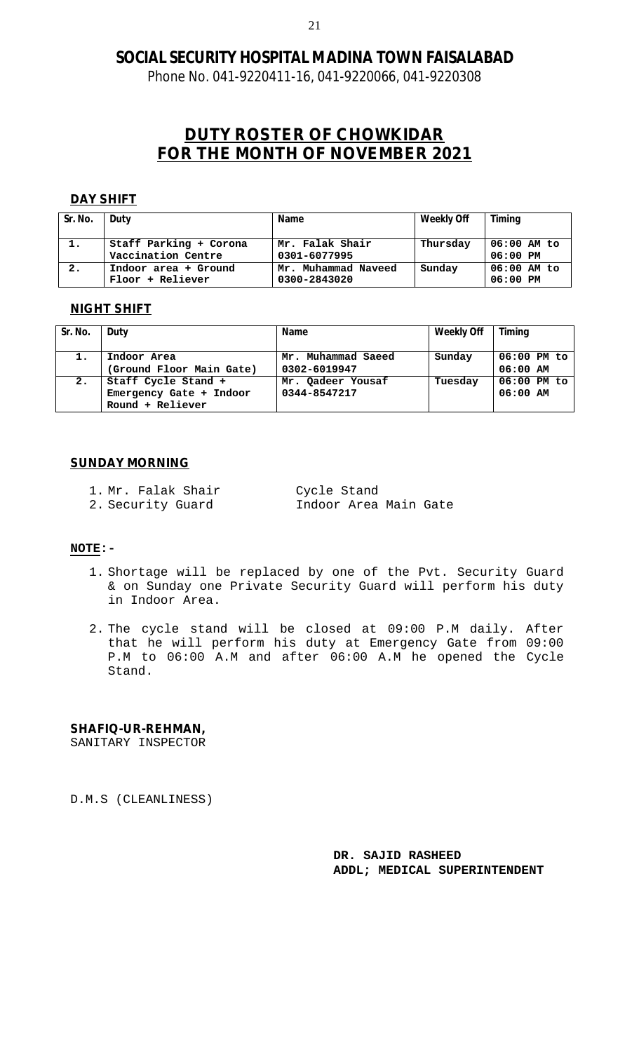Phone No. 041-9220411-16, 041-9220066, 041-9220308

# **DUTY ROSTER OF CHOWKIDAR FOR THE MONTH OF NOVEMBER 2021**

#### **DAY SHIFT**

| Sr. No. | Duty                                         | <b>Name</b>                         | <b>Weekly Off</b> | <b>Timing</b>               |
|---------|----------------------------------------------|-------------------------------------|-------------------|-----------------------------|
| 1.      | Staff Parking + Corona<br>Vaccination Centre | Mr. Falak Shair<br>0301-6077995     | Thursday          | $06:00$ AM to<br>$06:00$ PM |
| 2.      | Indoor area + Ground<br>Floor + Reliever     | Mr. Muhammad Naveed<br>0300-2843020 | Sunday            | $06:00$ AM to<br>$06:00$ PM |

#### **NIGHT SHIFT**

| Sr. No. | Duty                     | <b>Name</b>        | <b>Weekly Off</b> | <b>Timing</b> |
|---------|--------------------------|--------------------|-------------------|---------------|
| 1.      | Indoor Area              | Mr. Muhammad Saeed | Sunday            | $06:00$ PM to |
|         | (Ground Floor Main Gate) | 0302-6019947       |                   | $06:00$ AM    |
| 2.      | Staff Cycle Stand +      | Mr. Qadeer Yousaf  | Tuesday           | 06:00 PM to   |
|         | Emergency Gate + Indoor  | 0344-8547217       |                   | $06:00$ AM    |
|         | Round + Reliever         |                    |                   |               |

#### **SUNDAY MORNING**

- 1. Mr. Falak Shair Cycle Stand
- 2. Security Guard **Indoor Area Main Gate**

#### **NOTE:-**

- 1. Shortage will be replaced by one of the Pvt. Security Guard & on Sunday one Private Security Guard will perform his duty in Indoor Area.
- 2. The cycle stand will be closed at 09:00 P.M daily. After that he will perform his duty at Emergency Gate from 09:00 P.M to 06:00 A.M and after 06:00 A.M he opened the Cycle Stand.

#### **SHAFIQ-UR-REHMAN,**

SANITARY INSPECTOR

D.M.S (CLEANLINESS)

**DR. SAJID RASHEED ADDL; MEDICAL SUPERINTENDENT**

21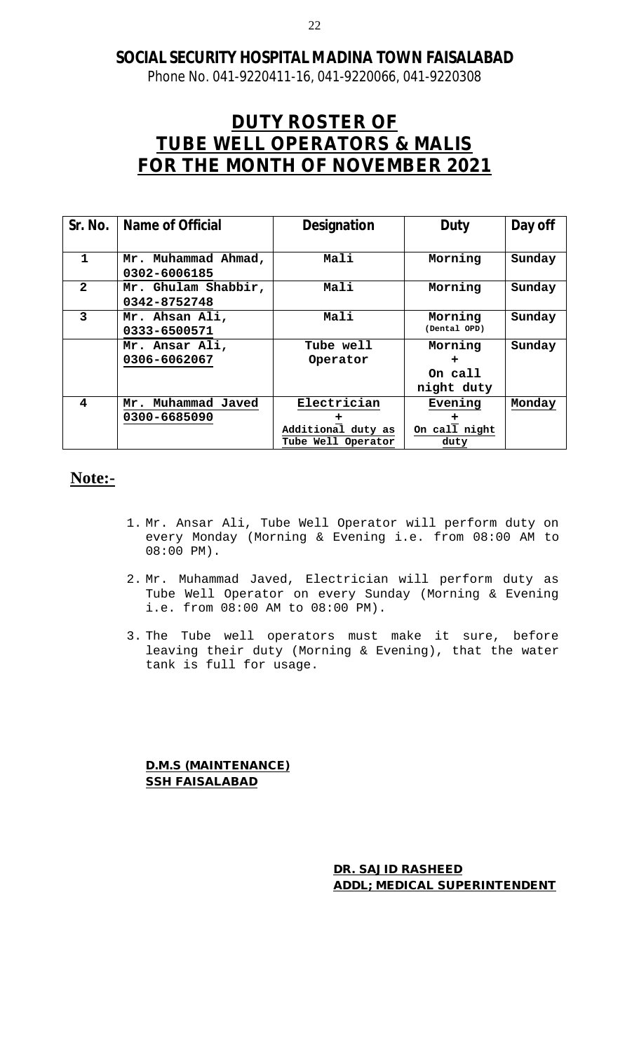Phone No. 041-9220411-16, 041-9220066, 041-9220308

# **DUTY ROSTER OF TUBE WELL OPERATORS & MALIS FOR THE MONTH OF NOVEMBER 2021**

| Sr. No.      | <b>Name of Official</b>             | <b>Designation</b>                       | Duty                    | Day off |
|--------------|-------------------------------------|------------------------------------------|-------------------------|---------|
|              |                                     |                                          |                         |         |
| 1            | Mr. Muhammad Ahmad,<br>0302-6006185 | Mali                                     | Morning                 | Sunday  |
| $\mathbf{z}$ | Mr. Ghulam Shabbir,<br>0342-8752748 | Mali                                     | Morning                 | Sunday  |
| 3            | Mr. Ahsan Ali,<br>0333-6500571      | Mali                                     | Morning<br>(Dental OPD) | Sunday  |
|              | Mr. Ansar Ali,<br>0306-6062067      | Tube well<br>Operator                    | Morning<br>+            | Sunday  |
|              |                                     |                                          | On call<br>night duty   |         |
| 4            | Muhammad Javed<br>Mr.               | Electrician                              | Evening                 | Monday  |
|              | 0300-6685090                        | Additional duty as<br>Tube Well Operator | On call night<br>duty   |         |

# **Note:-**

- 1. Mr. Ansar Ali, Tube Well Operator will perform duty on every Monday (Morning & Evening i.e. from 08:00 AM to 08:00 PM).
- 2. Mr. Muhammad Javed, Electrician will perform duty as Tube Well Operator on every Sunday (Morning & Evening i.e. from 08:00 AM to 08:00 PM).
- 3. The Tube well operators must make it sure, before leaving their duty (Morning & Evening), that the water tank is full for usage.

**D.M.S (MAINTENANCE) SSH FAISALABAD**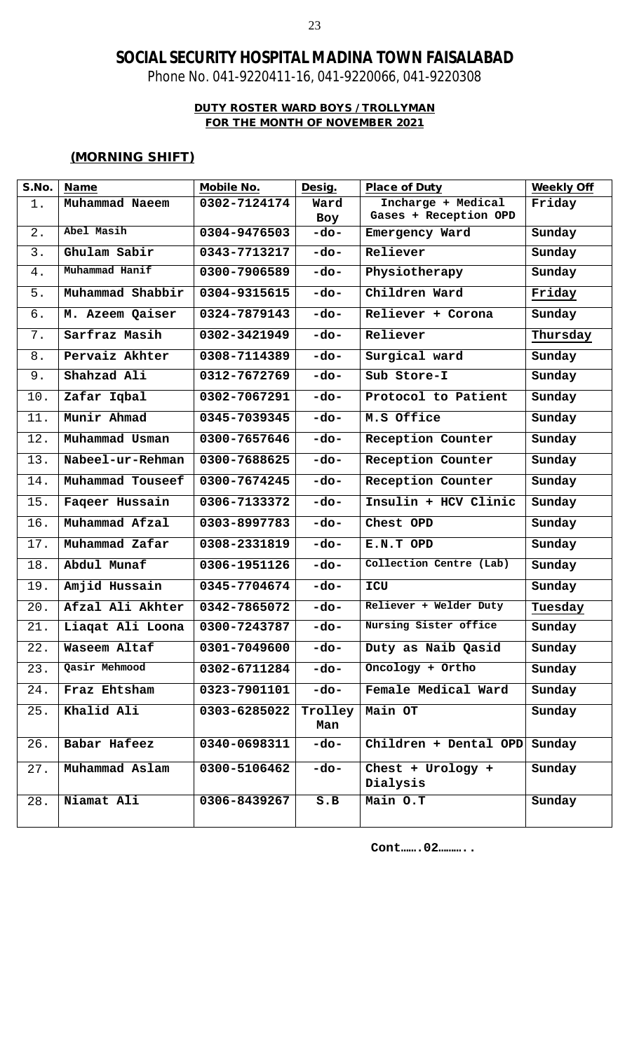Phone No. 041-9220411-16, 041-9220066, 041-9220308

### **DUTY ROSTER WARD BOYS / TROLLYMAN FOR THE MONTH OF NOVEMBER 2021**

### **(MORNING SHIFT)**

| S.No. | <b>Name</b>      | <b>Mobile No.</b>          | Desig.  | Place of Duty                 | <b>Weekly Off</b> |
|-------|------------------|----------------------------|---------|-------------------------------|-------------------|
| 1.    | Muhammad Naeem   | 0302-7124174               | Ward    | Incharge + Medical            | Friday            |
|       |                  |                            | Boy     | Gases + Reception OPD         |                   |
| 2.    | Abel Masih       | 0304-9476503               | -do-    | Emergency Ward                | Sunday            |
| 3.    | Ghulam Sabir     | $\overline{03}$ 43-7713217 | -do-    | Reliever                      | Sunday            |
| $4$ . | Muhammad Hanif   | 0300-7906589               | -do-    | Physiotherapy                 | Sunday            |
| $5.$  | Muhammad Shabbir | $0304 - 9315615$           | $-do-$  | Children Ward                 | Friday            |
| б.    | M. Azeem Qaiser  | 0324-7879143               | $-do-$  | Reliever + Corona             | Sunday            |
| 7.    | Sarfraz Masih    | 0302-3421949               | -do-    | Reliever                      | Thursday          |
| 8.    | Pervaiz Akhter   | 0308-7114389               | -do-    | Surgical ward                 | Sunday            |
| 9.    | Shahzad Ali      | 0312-7672769               | $-do-$  | Sub Store-I                   | Sunday            |
| 10.   | Zafar Iqbal      | 0302-7067291               | -do-    | Protocol to Patient           | Sunday            |
| 11.   | Munir Ahmad      | 0345-7039345               | $-do-$  | M.S Office                    | Sunday            |
| 12.   | Muhammad Usman   | 0300-7657646               | $-do-$  | Reception Counter             | Sunday            |
| 13.   | Nabeel-ur-Rehman | 0300-7688625               | $-do-$  | Reception Counter             | Sunday            |
| 14.   | Muhammad Touseef | 0300-7674245               | -do-    | Reception Counter             | Sunday            |
| 15.   | Faqeer Hussain   | 0306-7133372               | $-do-$  | Insulin + HCV Clinic          | Sunday            |
| 16.   | Muhammad Afzal   | 0303-8997783               | -do-    | Chest OPD                     | Sunday            |
| 17.   | Muhammad Zafar   | 0308-2331819               | $-do-$  | E.N.T OPD                     | Sunday            |
| 18.   | Abdul Munaf      | 0306-1951126               | -do-    | Collection Centre (Lab)       | Sunday            |
| 19.   | Amjid Hussain    | 0345-7704674               | -do-    | ICU                           | Sunday            |
| 20.   | Afzal Ali Akhter | 0342-7865072               | -do-    | Reliever + Welder Duty        | Tuesday           |
| 21.   | Liagat Ali Loona | 0300-7243787               | $-do-$  | Nursing Sister office         | Sunday            |
| 22.   | Waseem Altaf     | 0301-7049600               | $-do-$  | Duty as Naib Qasid            | Sunday            |
| 23.   | Qasir Mehmood    | 0302-6711284               | -do-    | Oncology + Ortho              | Sunday            |
| 24.   | Fraz Ehtsham     | 0323-7901101               | -do-    | Female Medical Ward           | Sunday            |
| 25.   | Khalid Ali       | 0303-6285022               | Trolley | Main OT                       | Sunday            |
|       |                  |                            | Man     |                               |                   |
| 26.   | Babar Hafeez     | 0340-0698311               | -do-    | Children + Dental OPD         | Sunday            |
| 27.   | Muhammad Aslam   | 0300-5106462               | -do-    | Chest + Urology +<br>Dialysis | Sunday            |
| 28.   | Niamat Ali       | 0306-8439267               | $S$ . B | Main O.T                      | Sunday            |

**Cont…….02………..**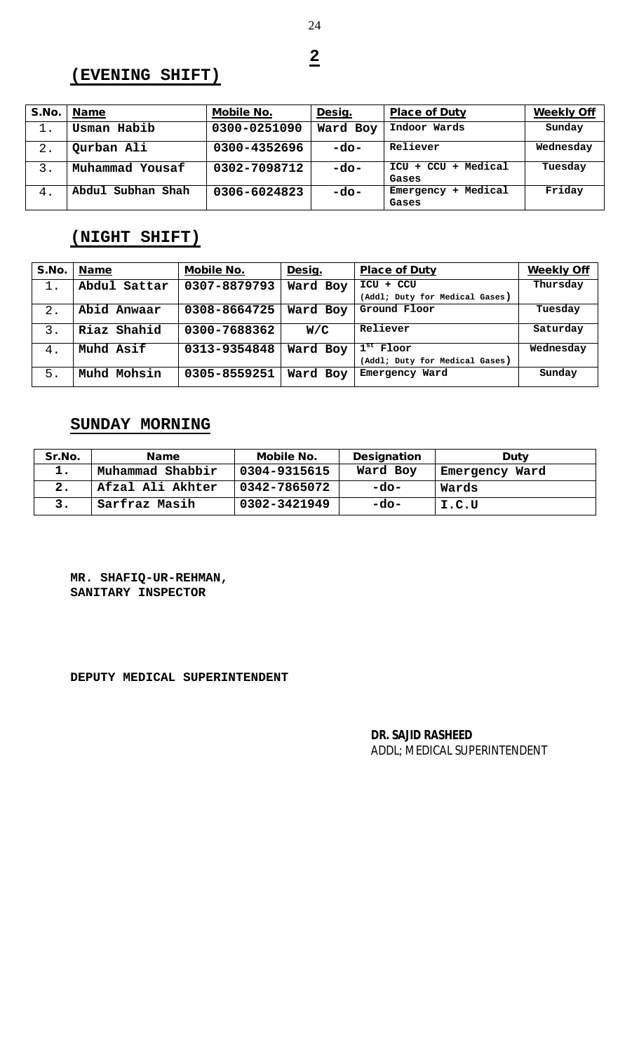**2**

# **(EVENING SHIFT)**

| S.No.          | <b>Name</b>       | <b>Mobile No.</b> | Desig.   | <b>Place of Duty</b>                   | <b>Weekly Off</b> |
|----------------|-------------------|-------------------|----------|----------------------------------------|-------------------|
| 1.             | Usman Habib       | 0300-0251090      | Ward Boy | Indoor Wards                           | Sunday            |
| -2.            | Qurban Ali        | 0300-4352696      | $-do-$   | Reliever                               | Wednesday         |
| $\mathbf{3}$ . | Muhammad Yousaf   | 0302-7098712      | -do-     | $ICU + CCU$<br>Medical<br>$+$<br>Gases | Tuesday           |
| 4.             | Abdul Subhan Shah | 0306-6024823      | -do-     | Medical<br>Emergency<br>÷<br>Gases     | Friday            |

# **(NIGHT SHIFT)**

| S.No.          | <b>Name</b>  | <b>Mobile No.</b> | Desig.   | <b>Place of Duty</b>           | <b>Weekly Off</b> |
|----------------|--------------|-------------------|----------|--------------------------------|-------------------|
| 1.             | Abdul Sattar | 0307-8879793      | Ward Boy | ICU + CCU                      | Thursday          |
|                |              |                   |          | (Addl; Duty for Medical Gases) |                   |
|                | Abid Anwaar  | 0308-8664725      | Ward Boy | Ground Floor                   | Tuesday           |
| $\mathbf{3}$ . | Riaz Shahid  | 0300-7688362      | W/C      | Reliever                       | Saturday          |
| 4.             | Muhd Asif    | 0313-9354848      | Ward Boy | $1st$ Floor                    | Wednesday         |
|                |              |                   |          | (Addl; Duty for Medical Gases) |                   |
| 5.             | Muhd Mohsin  | 0305-8559251      | Ward Boy | Emergency Ward                 | Sunday            |

# **SUNDAY MORNING**

| Sr.No. | <b>Name</b>      | <b>Mobile No.</b> | <b>Designation</b> | <b>Duty</b>    |
|--------|------------------|-------------------|--------------------|----------------|
|        | Muhammad Shabbir | 0304-9315615      | Ward Boy           | Emergency Ward |
| 2.     | Afzal Ali Akhter | 0342-7865072      | -do-               | Wards          |
|        | Sarfraz Masih    | 0302-3421949      | -do-               | I.C.U          |

**MR. SHAFIQ-UR-REHMAN, SANITARY INSPECTOR**

**DEPUTY MEDICAL SUPERINTENDENT**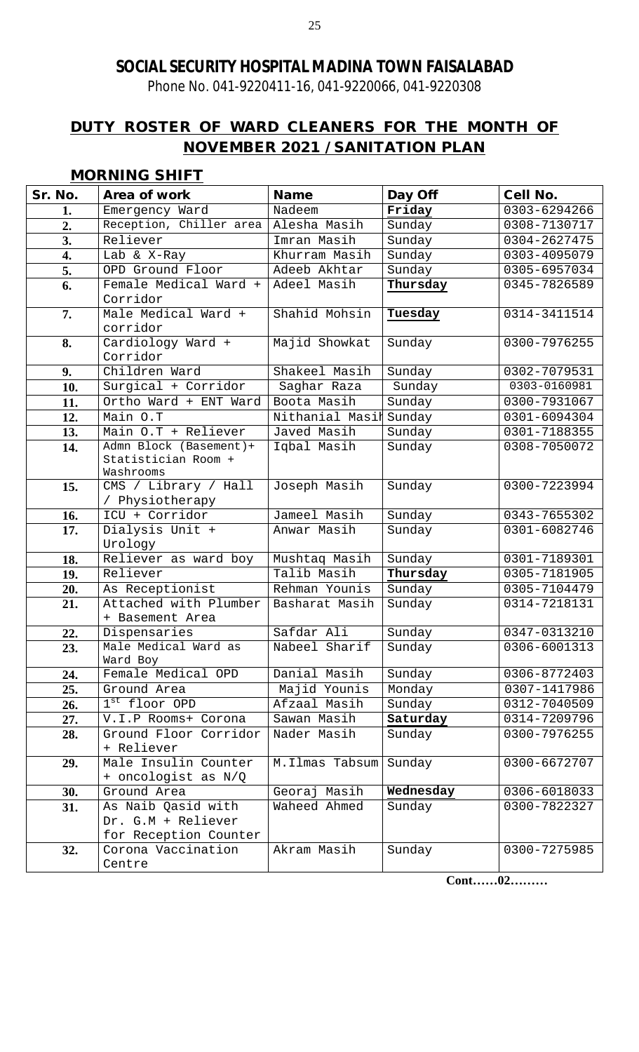Phone No. 041-9220411-16, 041-9220066, 041-9220308

# **DUTY ROSTER OF WARD CLEANERS FOR THE MONTH OF NOVEMBER 2021 / SANITATION PLAN**

# **MORNING SHIFT**

| Sr. No. | Area of work                      | <b>Name</b>            | Day Off   | <b>Cell No.</b> |
|---------|-----------------------------------|------------------------|-----------|-----------------|
| 1.      | Emergency Ward                    | Nadeem                 | Friday    | 0303-6294266    |
| 2.      | Reception, Chiller area           | Alesha Masih           | Sunday    | 0308-7130717    |
| 3.      | Reliever                          | Imran Masih            | Sunday    | 0304-2627475    |
| 4.      | Lab & X-Ray                       | Khurram Masih          | Sunday    | 0303-4095079    |
| 5.      | OPD Ground Floor                  | Adeeb Akhtar           | Sunday    | 0305-6957034    |
| 6.      | Female Medical Ward +             | Adeel Masih            | Thursday  | 0345-7826589    |
|         | Corridor                          |                        |           |                 |
| 7.      | Male Medical Ward +               | Shahid Mohsin          | Tuesday   | 0314-3411514    |
|         | corridor                          |                        |           |                 |
| 8.      | Cardiology Ward +                 | Majid Showkat          | Sunday    | 0300-7976255    |
|         | Corridor                          |                        |           |                 |
| 9.      | Children Ward                     | Shakeel Masih          | Sunday    | 0302-7079531    |
| 10.     | Surgical + Corridor               | Saghar Raza            | Sunday    | 0303-0160981    |
| 11.     | Ortho Ward + ENT Ward             | Boota Masih            | Sunday    | 0300-7931067    |
| 12.     | Main O.T                          | Nithanial Masil Sunday |           | 0301-6094304    |
| 13.     | Main O.T + Reliever               | Javed Masih            | Sunday    | 0301-7188355    |
| 14.     | Admn Block (Basement)+            | Iqbal Masih            | Sunday    | 0308-7050072    |
|         | Statistician Room +               |                        |           |                 |
| 15.     | Washrooms<br>CMS / Library / Hall | Joseph Masih           | Sunday    | 0300-7223994    |
|         | / Physiotherapy                   |                        |           |                 |
| 16.     | ICU + Corridor                    | Jameel Masih           | Sunday    | 0343-7655302    |
| 17.     | Dialysis Unit +                   | Anwar Masih            | Sunday    | 0301-6082746    |
|         | Urology                           |                        |           |                 |
| 18.     | Reliever as ward boy              | Mushtaq Masih          | Sunday    | 0301-7189301    |
| 19.     | Reliever                          | Talib Masih            | Thursday  | 0305-7181905    |
| 20.     | As Receptionist                   | Rehman Younis          | Sunday    | 0305-7104479    |
| 21.     | Attached with Plumber             | Basharat Masih         | Sunday    | 0314-7218131    |
|         | + Basement Area                   |                        |           |                 |
| 22.     | Dispensaries                      | Safdar Ali             | Sunday    | 0347-0313210    |
| 23.     | Male Medical Ward as              | Nabeel Sharif          | Sunday    | 0306-6001313    |
|         | Ward Boy                          |                        |           |                 |
| 24.     | Female Medical OPD                | Danial Masih           | Sunday    | 0306-8772403    |
| 25.     | Ground Area                       | Majid Younis           | Monday    | 0307-1417986    |
| 26.     | $1st$ floor OPD                   | Afzaal Masih           | Sunday    | 0312-7040509    |
| 27.     | V.I.P Rooms+ Corona               | Sawan Masih            | Saturday  | 0314-7209796    |
| 28.     | Ground Floor Corridor             | Nader Masih            | Sunday    | 0300-7976255    |
|         | + Reliever                        |                        |           |                 |
| 29.     | Male Insulin Counter              | M.Ilmas Tabsum         | Sunday    | 0300-6672707    |
|         | + oncologist as N/Q               |                        |           |                 |
| 30.     | Ground Area                       | Georaj Masih           | Wednesday | 0306-6018033    |
| 31.     | As Naib Qasid with                | Waheed Ahmed           | Sunday    | 0300-7822327    |
|         | Dr. G.M + Reliever                |                        |           |                 |
|         | for Reception Counter             |                        |           |                 |
| 32.     | Corona Vaccination                | Akram Masih            | Sunday    | 0300-7275985    |
|         | Centre                            |                        |           |                 |

**Cont……02………**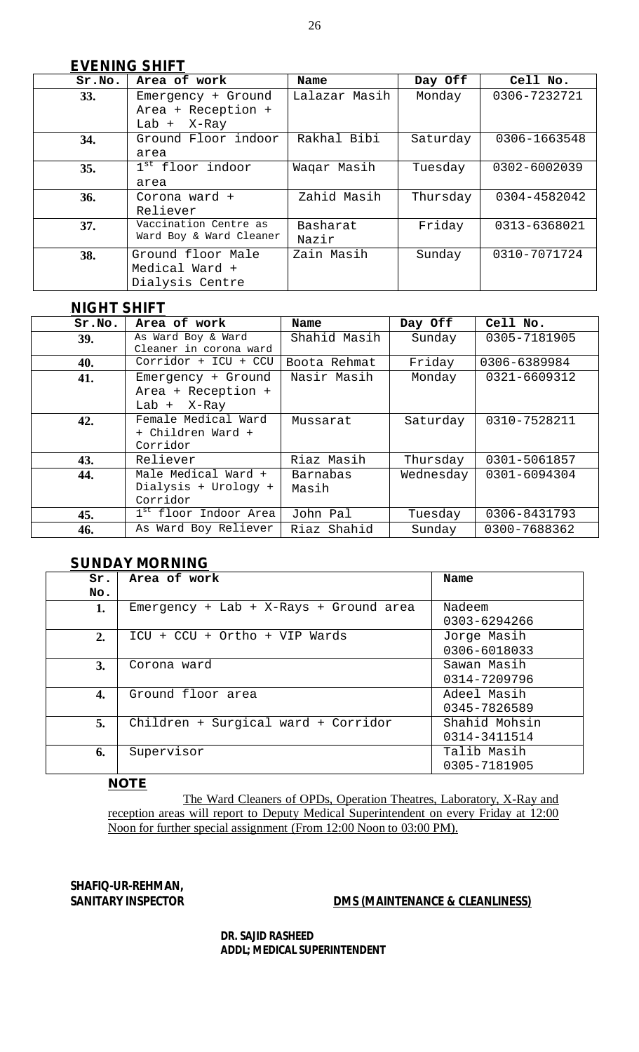| Sr.No. | Area of work                 | Name          | Day Off  | Cell No.     |
|--------|------------------------------|---------------|----------|--------------|
| 33.    | Emergency + Ground           | Lalazar Masih | Monday   | 0306-7232721 |
|        | Area + Reception +           |               |          |              |
|        | Lab $+$ X-Ray                |               |          |              |
| 34.    | Ground Floor indoor          | Rakhal Bibi   | Saturday | 0306-1663548 |
|        | area                         |               |          |              |
| 35.    | 1 <sup>st</sup> floor indoor | Waqar Masih   | Tuesday  | 0302-6002039 |
|        | area                         |               |          |              |
| 36.    | Corona ward +                | Zahid Masih   | Thursday | 0304-4582042 |
|        | Reliever                     |               |          |              |
| 37.    | Vaccination Centre as        | Basharat      | Friday   | 0313-6368021 |
|        | Ward Boy & Ward Cleaner      | Nazir         |          |              |
| 38.    | Ground floor Male            | Zain Masih    | Sunday   | 0310-7071724 |
|        | Medical Ward +               |               |          |              |
|        | Dialysis Centre              |               |          |              |

### **<sup>4</sup>NIGHT SHIFT**

| Sr.No.     | Area of work                                              | Name              | Day Off   | Cell No.     |
|------------|-----------------------------------------------------------|-------------------|-----------|--------------|
| <b>39.</b> | As Ward Boy & Ward<br>Cleaner in corona ward              | Shahid Masih      | Sunday    | 0305-7181905 |
| 40.        | Corridor + ICU + CCU                                      | Boota Rehmat      | Friday    | 0306-6389984 |
| 41.        | Emergency + Ground<br>Area + Reception +<br>Lab $+$ X-Ray | Nasir Masih       | Monday    | 0321-6609312 |
| 42.        | Female Medical Ward<br>+ Children Ward +<br>Corridor      | Mussarat          | Saturday  | 0310-7528211 |
| 43.        | Reliever                                                  | Riaz Masih        | Thursday  | 0301-5061857 |
| 44.        | Male Medical Ward +<br>Dialysis + Urology +<br>Corridor   | Barnabas<br>Masih | Wednesday | 0301-6094304 |
| 45.        | 1 <sup>st</sup> floor Indoor Area                         | John Pal          | Tuesday   | 0306-8431793 |
| 46.        | As Ward Boy Reliever                                      | Riaz Shahid       | Sunday    | 0300-7688362 |

### **SUNDAY MORNING**

| Sr. | Area of work                             | Name          |
|-----|------------------------------------------|---------------|
| No. |                                          |               |
| 1.  | $Emergency + Lab + X-Rays + Ground area$ | Nadeem        |
|     |                                          | 0303-6294266  |
| 2.  | ICU + CCU + Ortho + VIP Wards            | Jorge Masih   |
|     |                                          | 0306-6018033  |
| 3.  | Corona ward                              | Sawan Masih   |
|     |                                          | 0314-7209796  |
| 4.  | Ground floor area                        | Adeel Masih   |
|     |                                          | 0345-7826589  |
| 5.  | Children + Surgical ward + Corridor      | Shahid Mohsin |
|     |                                          | 0314-3411514  |
| 6.  | Supervisor                               | Talib Masih   |
|     |                                          | 0305-7181905  |

#### **NOTE**

The Ward Cleaners of OPDs, Operation Theatres, Laboratory, X-Ray and reception areas will report to Deputy Medical Superintendent on every Friday at 12:00 Noon for further special assignment (From 12:00 Noon to 03:00 PM).

# **SHAFIQ-UR-REHMAN,**

### **SANITARY INSPECTOR DMS (MAINTENANCE & CLEANLINESS)**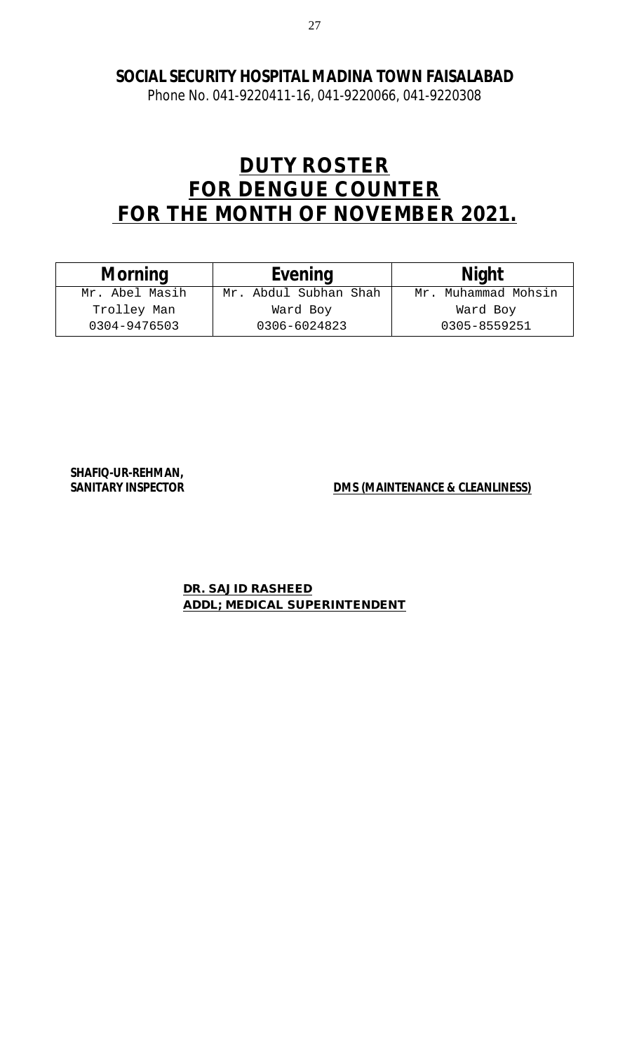Phone No. 041-9220411-16, 041-9220066, 041-9220308

# **DUTY ROSTER FOR DENGUE COUNTER FOR THE MONTH OF NOVEMBER 2021.**

| <b>Morning</b> | <b>Evening</b>        | <b>Night</b>        |
|----------------|-----------------------|---------------------|
| Mr. Abel Masih | Mr. Abdul Subhan Shah | Mr. Muhammad Mohsin |
| Trolley Man    | Ward Boy              | Ward Boy            |
| 0304-9476503   | 0306-6024823          | 0305-8559251        |

**SHAFIQ-UR-REHMAN,** 

**SANITARY INSPECTOR DMS (MAINTENANCE & CLEANLINESS)**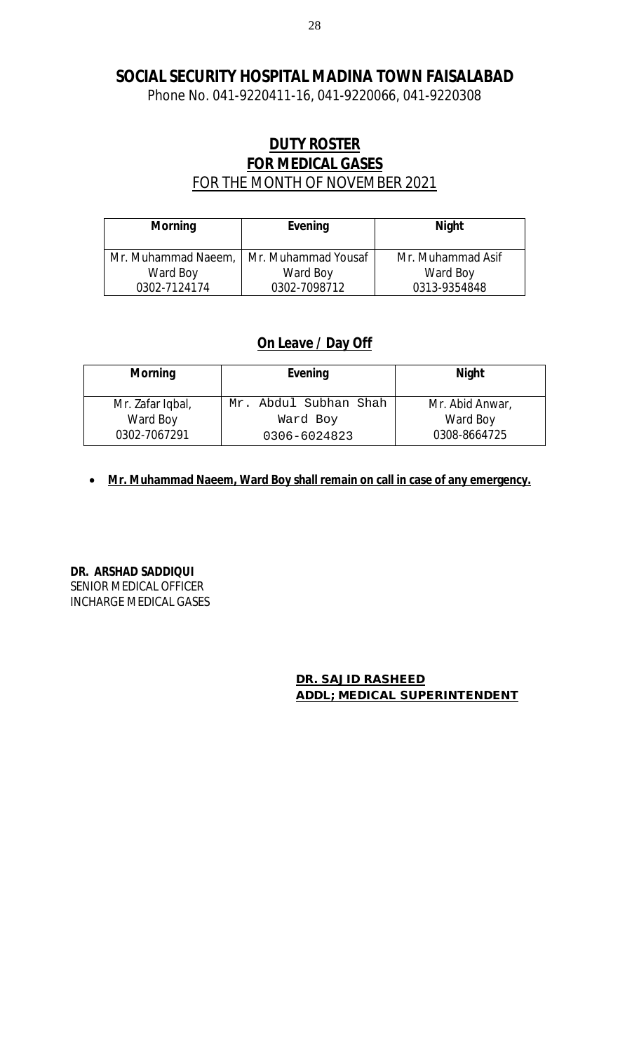Phone No. 041-9220411-16, 041-9220066, 041-9220308

# **DUTY ROSTER FOR MEDICAL GASES**  FOR THE MONTH OF NOVEMBER 2021

| <b>Morning</b>      | <b>Evening</b>      | <b>Night</b>      |
|---------------------|---------------------|-------------------|
| Mr. Muhammad Naeem, | Mr. Muhammad Yousaf | Mr. Muhammad Asif |
| Ward Boy            | Ward Boy            | Ward Boy          |
| 0302-7124174        | 0302-7098712        | 0313-9354848      |

# **On Leave / Day Off**

| <b>Morning</b>   | Evening               | <b>Night</b>    |
|------------------|-----------------------|-----------------|
| Mr. Zafar Iqbal, | Mr. Abdul Subhan Shah | Mr. Abid Anwar, |
| Ward Boy         | Ward Boy              | Ward Boy        |
| 0302-7067291     | 0306-6024823          | 0308-8664725    |

**Mr. Muhammad Naeem, Ward Boy shall remain on call in case of any emergency.** 

**DR. ARSHAD SADDIQUI**  SENIOR MEDICAL OFFICER INCHARGE MEDICAL GASES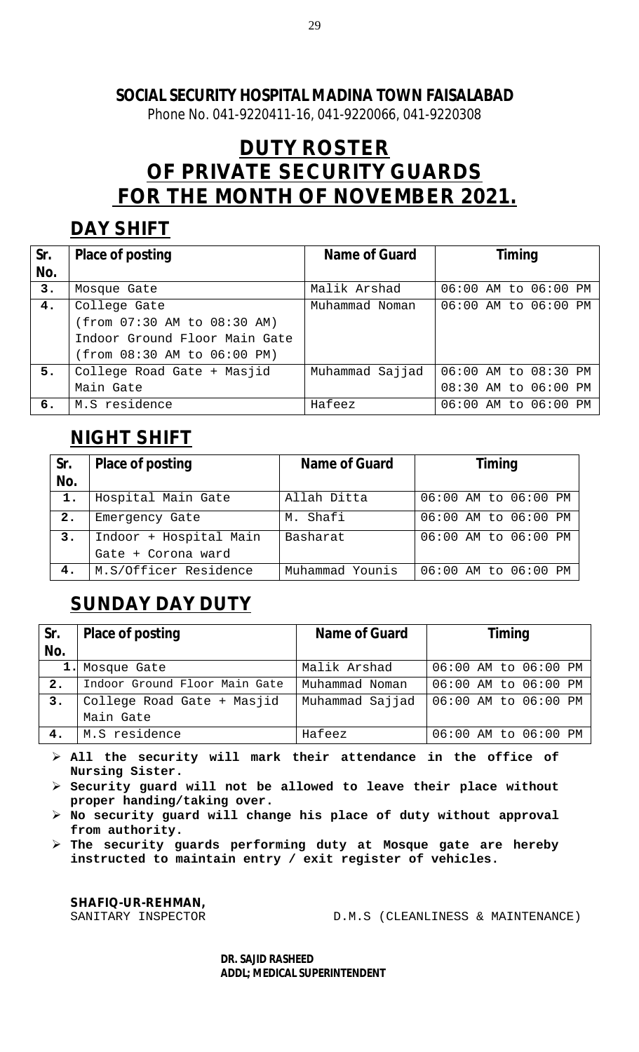Phone No. 041-9220411-16, 041-9220066, 041-9220308

# **DUTY ROSTER OF PRIVATE SECURITY GUARDS FOR THE MONTH OF NOVEMBER 2021.**

# **DAY SHIFT**

| Sr. | <b>Place of posting</b>       | Name of Guard   | <b>Timing</b>        |
|-----|-------------------------------|-----------------|----------------------|
| No. |                               |                 |                      |
| 3.  | Mosque Gate                   | Malik Arshad    | 06:00 AM to 06:00 PM |
| 4.  | College Gate                  | Muhammad Noman  | 06:00 AM to 06:00 PM |
|     | (from 07:30 AM to 08:30 AM)   |                 |                      |
|     | Indoor Ground Floor Main Gate |                 |                      |
|     | (from 08:30 AM to 06:00 PM)   |                 |                      |
| 5.  | College Road Gate + Masjid    | Muhammad Sajjad | 06:00 AM to 08:30 PM |
|     | Main Gate                     |                 | 08:30 AM to 06:00 PM |
| б.  | M.S residence                 | Hafeez          | 06:00 AM to 06:00 PM |

# **NIGHT SHIFT**

| Sr.<br>No. | <b>Place of posting</b> | Name of Guard   | <b>Timing</b>        |
|------------|-------------------------|-----------------|----------------------|
| 1.         | Hospital Main Gate      | Allah Ditta     | 06:00 AM to 06:00 PM |
| 2.         | Emergency Gate          | M. Shafi        | 06:00 AM to 06:00 PM |
| 3.         | Indoor + Hospital Main  | Basharat        | 06:00 AM to 06:00 PM |
|            | Gate + Corona ward      |                 |                      |
| 4.         | M.S/Officer Residence   | Muhammad Younis | 06:00 AM to 06:00 PM |

# **SUNDAY DAY DUTY**

| Sr.<br>No. | <b>Place of posting</b>       | <b>Name of Guard</b> | <b>Timing</b>        |
|------------|-------------------------------|----------------------|----------------------|
|            | 1. Mosque Gate                | Malik Arshad         | 06:00 AM to 06:00 PM |
| 2.         | Indoor Ground Floor Main Gate | Muhammad Noman       | 06:00 AM to 06:00 PM |
| 3.         | College Road Gate + Masjid    | Muhammad Sajjad      | 06:00 AM to 06:00 PM |
|            | Main Gate                     |                      |                      |
| 4.         | M.S residence                 | Hafeez               | 06:00 AM to 06:00 PM |

 **All the security will mark their attendance in the office of Nursing Sister.**

 **Security guard will not be allowed to leave their place without proper handing/taking over.**

 **No security guard will change his place of duty without approval from authority.**

 **The security guards performing duty at Mosque gate are hereby instructed to maintain entry / exit register of vehicles.** 

**SHAFIQ-UR-REHMAN,** 

 $D.M.S$  (CLEANLINESS & MAINTENANCE)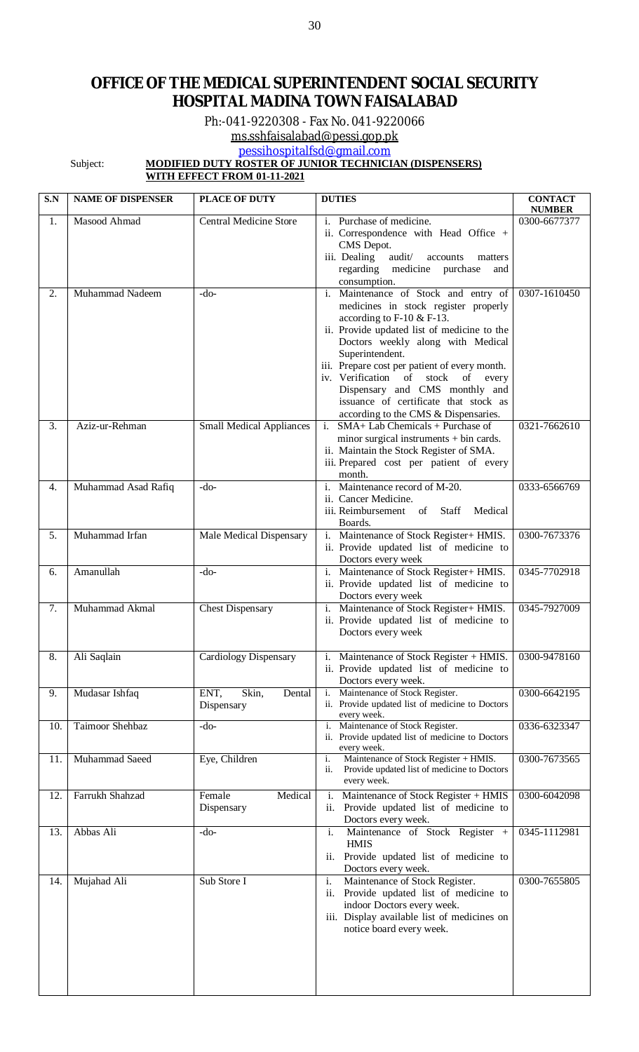# **OFFICE OF THE MEDICAL SUPERINTENDENT SOCIAL SECURITY HOSPITAL MADINA TOWN FAISALABAD**

Ph:-041-9220308 - Fax No. 041-9220066

[ms.sshfaisalabad@pessi.gop.pk](mailto:ms.sshfaisalabad@pessi.gop.pk)

[pessihospitalfsd@gmail.com](mailto:pessihospitalfsd@gmail.com)

#### Subject: **MODIFIED DUTY ROSTER OF JUNIOR TECHNICIAN (DISPENSERS)**

**WITH EFFECT FROM 01-11-2021**

| S.N | <b>NAME OF DISPENSER</b> | <b>PLACE OF DUTY</b>                  | <b>DUTIES</b>                                                                                                                                                                                                                                                                                                                                                                                                                     | <b>CONTACT</b><br><b>NUMBER</b> |
|-----|--------------------------|---------------------------------------|-----------------------------------------------------------------------------------------------------------------------------------------------------------------------------------------------------------------------------------------------------------------------------------------------------------------------------------------------------------------------------------------------------------------------------------|---------------------------------|
| 1.  | Masood Ahmad             | <b>Central Medicine Store</b>         | i. Purchase of medicine.<br>ii. Correspondence with Head Office +<br>CMS Depot.<br>iii. Dealing<br>$\mbox{audit} /$<br>accounts<br>matters<br>regarding<br>medicine<br>purchase<br>and<br>consumption.                                                                                                                                                                                                                            | 0300-6677377                    |
| 2.  | Muhammad Nadeem          | -do-                                  | i. Maintenance of Stock and entry of<br>medicines in stock register properly<br>according to $F-10 \& F-13$ .<br>ii. Provide updated list of medicine to the<br>Doctors weekly along with Medical<br>Superintendent.<br>iii. Prepare cost per patient of every month.<br>iv. Verification of stock<br>of every<br>Dispensary and CMS monthly and<br>issuance of certificate that stock as<br>according to the CMS & Dispensaries. | 0307-1610450                    |
| 3.  | Aziz-ur-Rehman           | <b>Small Medical Appliances</b>       | SMA+ Lab Chemicals + Purchase of<br>minor surgical instruments $+$ bin cards.<br>ii. Maintain the Stock Register of SMA.<br>iii. Prepared cost per patient of every<br>month.                                                                                                                                                                                                                                                     | 0321-7662610                    |
| 4.  | Muhammad Asad Rafiq      | $-do-$                                | i. Maintenance record of M-20.<br>ii. Cancer Medicine.<br>iii. Reimbursement of Staff<br>Medical<br>Boards.                                                                                                                                                                                                                                                                                                                       | 0333-6566769                    |
| 5.  | Muhammad Irfan           | Male Medical Dispensary               | i.<br>Maintenance of Stock Register+ HMIS.<br>ii. Provide updated list of medicine to<br>Doctors every week                                                                                                                                                                                                                                                                                                                       | 0300-7673376                    |
| 6.  | Amanullah                | $-do-$                                | Maintenance of Stock Register+ HMIS.<br>i.<br>ii. Provide updated list of medicine to<br>Doctors every week                                                                                                                                                                                                                                                                                                                       | 0345-7702918                    |
| 7.  | Muhammad Akmal           | <b>Chest Dispensary</b>               | i. Maintenance of Stock Register+ HMIS.<br>ii. Provide updated list of medicine to<br>Doctors every week                                                                                                                                                                                                                                                                                                                          | 0345-7927009                    |
| 8.  | Ali Saqlain              | Cardiology Dispensary                 | i. Maintenance of Stock Register + HMIS.<br>ii. Provide updated list of medicine to<br>Doctors every week.                                                                                                                                                                                                                                                                                                                        | 0300-9478160                    |
| 9.  | Mudasar Ishfaq           | ENT,<br>Skin,<br>Dental<br>Dispensary | Maintenance of Stock Register.<br>i.<br>ii. Provide updated list of medicine to Doctors<br>every week.                                                                                                                                                                                                                                                                                                                            | 0300-6642195                    |
| 10. | Taimoor Shehbaz          | -do-                                  | Maintenance of Stock Register.<br>i.<br>ii. Provide updated list of medicine to Doctors<br>every week.                                                                                                                                                                                                                                                                                                                            | 0336-6323347                    |
| 11. | Muhammad Saeed           | Eye, Children                         | Maintenance of Stock Register + HMIS.<br>i.<br>Provide updated list of medicine to Doctors<br>ii.<br>every week.                                                                                                                                                                                                                                                                                                                  | 0300-7673565                    |
| 12. | Farrukh Shahzad          | Female<br>Medical<br>Dispensary       | Maintenance of Stock Register + HMIS<br>$\mathbf{1}$ .<br>ii. Provide updated list of medicine to<br>Doctors every week.                                                                                                                                                                                                                                                                                                          | 0300-6042098                    |
| 13. | Abbas Ali                | $-do-$                                | Maintenance of Stock Register +<br>i.<br><b>HMIS</b><br>Provide updated list of medicine to<br>ii.<br>Doctors every week.                                                                                                                                                                                                                                                                                                         | 0345-1112981                    |
| 14. | Mujahad Ali              | Sub Store I                           | Maintenance of Stock Register.<br>i.<br>ii. Provide updated list of medicine to<br>indoor Doctors every week.<br>iii. Display available list of medicines on<br>notice board every week.                                                                                                                                                                                                                                          | 0300-7655805                    |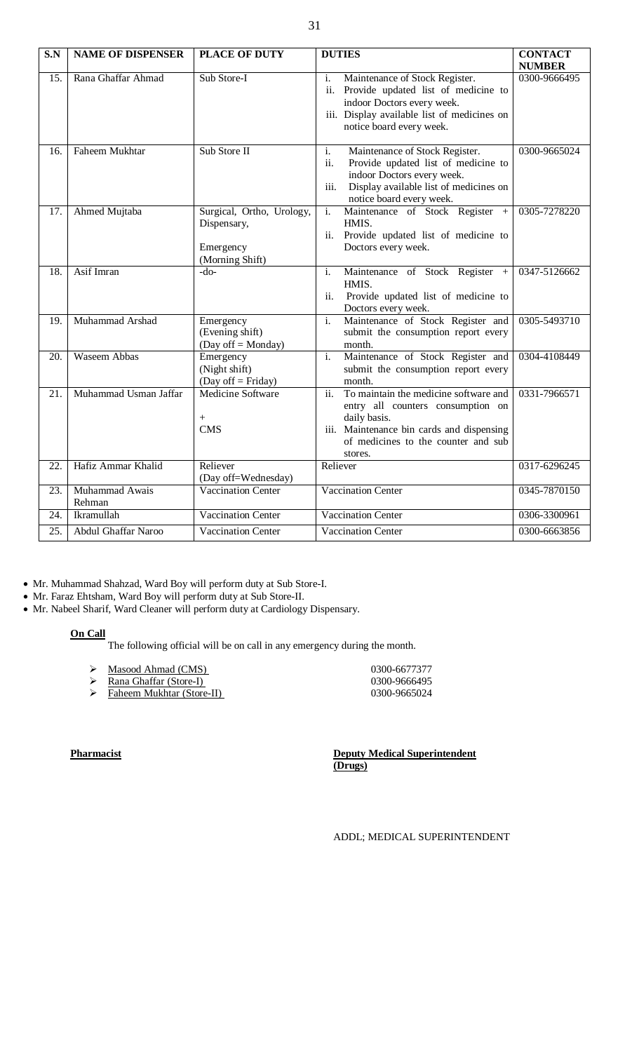| $\overline{\textbf{S}.\textbf{N}}$ | <b>NAME OF DISPENSER</b> | <b>PLACE OF DUTY</b>                                                     | <b>DUTIES</b>                                                                                                                                                                                    | <b>CONTACT</b>            |
|------------------------------------|--------------------------|--------------------------------------------------------------------------|--------------------------------------------------------------------------------------------------------------------------------------------------------------------------------------------------|---------------------------|
|                                    |                          |                                                                          |                                                                                                                                                                                                  | <b>NUMBER</b>             |
| 15.                                | Rana Ghaffar Ahmad       | Sub Store-I                                                              | i.<br>Maintenance of Stock Register.<br>ii. Provide updated list of medicine to<br>indoor Doctors every week.<br>iii. Display available list of medicines on<br>notice board every week.         | 0300-9666495              |
| 16.                                | Faheem Mukhtar           | Sub Store II                                                             | i.<br>Maintenance of Stock Register.<br>ii.<br>Provide updated list of medicine to<br>indoor Doctors every week.<br>Display available list of medicines on<br>iii.<br>notice board every week.   | 0300-9665024              |
| 17.                                | Ahmed Mujtaba            | Surgical, Ortho, Urology,<br>Dispensary,<br>Emergency<br>(Morning Shift) | Maintenance of Stock Register<br>i.<br>$+$<br>HMIS.<br>ii. Provide updated list of medicine to<br>Doctors every week.                                                                            | 0305-7278220              |
| 18.                                | Asif Imran               | $-do-$                                                                   | Maintenance of Stock Register<br>i.<br>$+$<br>HMIS.<br>ii.<br>Provide updated list of medicine to<br>Doctors every week.                                                                         | $\overline{0347-5}126662$ |
| 19.                                | Muhammad Arshad          | Emergency<br>(Evening shift)<br>(Day off = Monday)                       | Maintenance of Stock Register and<br>i.<br>submit the consumption report every<br>month.                                                                                                         | 0305-5493710              |
| 20.                                | <b>Waseem Abbas</b>      | Emergency<br>(Night shift)<br>(Day off $=$ Friday)                       | Maintenance of Stock Register and<br>i.<br>submit the consumption report every<br>month.                                                                                                         | 0304-4108449              |
| 21.                                | Muhammad Usman Jaffar    | <b>Medicine Software</b><br>$^{+}$<br><b>CMS</b>                         | To maintain the medicine software and<br>ii.<br>entry all counters consumption on<br>daily basis.<br>iii. Maintenance bin cards and dispensing<br>of medicines to the counter and sub<br>stores. | 0331-7966571              |
| 22.                                | Hafiz Ammar Khalid       | Reliever<br>(Day off=Wednesday)                                          | Reliever                                                                                                                                                                                         | 0317-6296245              |
| 23.                                | Muhammad Awais<br>Rehman | <b>Vaccination Center</b>                                                | Vaccination Center                                                                                                                                                                               | 0345-7870150              |
| 24.                                | Ikramullah               | <b>Vaccination Center</b>                                                | <b>Vaccination Center</b>                                                                                                                                                                        | 0306-3300961              |
| 25.                                | Abdul Ghaffar Naroo      | Vaccination Center                                                       | Vaccination Center                                                                                                                                                                               | 0300-6663856              |

Mr. Muhammad Shahzad, Ward Boy will perform duty at Sub Store-I.

Mr. Faraz Ehtsham, Ward Boy will perform duty at Sub Store-II.

Mr. Nabeel Sharif, Ward Cleaner will perform duty at Cardiology Dispensary.

### **On Call**

The following official will be on call in any emergency during the month.

| ↘ | Masood Ahmad (CMS) |  |
|---|--------------------|--|
|   |                    |  |

- → Masood Ahmad (CMS)<br>
→ Rana Ghaffar (Store-I)<br>
→ Faheem Mukhtar (Store-II)<br>
0300-9666495<br>
0300-9665024 **Rana Ghaffar (Store-I)** 0300-9666495
- Faheem Mukhtar (Store-II) 0300-9665024

**Pharmacist Deputy Medical Superintendent (Drugs)**

ADDL; MEDICAL SUPERINTENDENT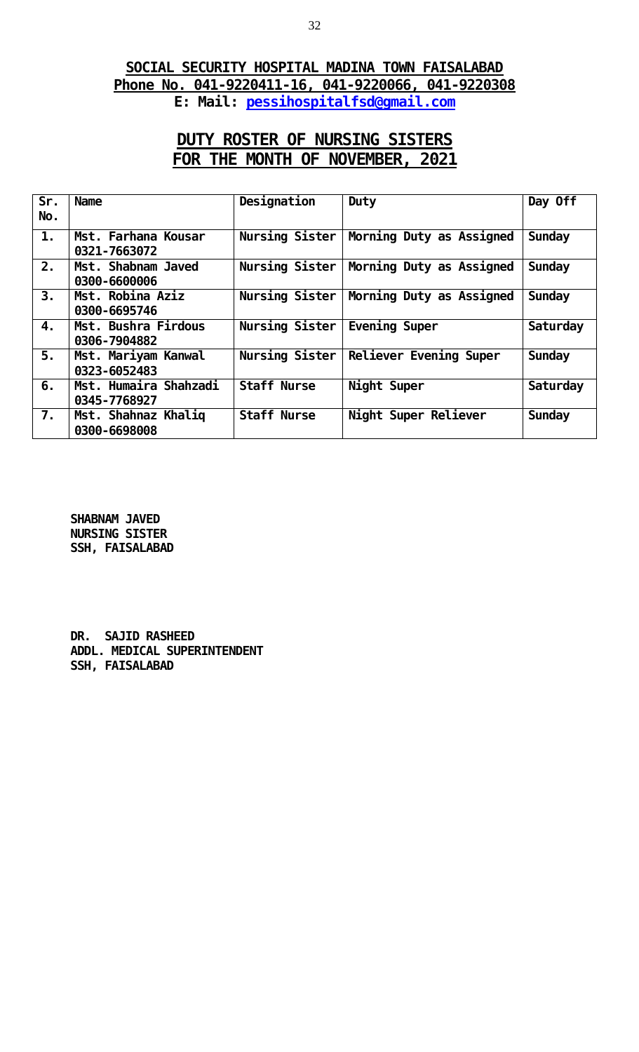### **SOCIAL SECURITY HOSPITAL MADINA TOWN FAISALABAD Phone No. 041-9220411-16, 041-9220066, 041-9220308 E: Mail: [pessihospitalfsd@gmail.com](mailto:pessihospitalfsd@gmail.com)**

# **DUTY ROSTER OF NURSING SISTERS FOR THE MONTH OF NOVEMBER, 2021**

| Sr. | <b>Name</b>                           | Designation        | Duty                     | Day Off       |
|-----|---------------------------------------|--------------------|--------------------------|---------------|
| No. |                                       |                    |                          |               |
| 1.  | Mst. Farhana Kousar<br>0321-7663072   | Nursing Sister     | Morning Duty as Assigned | <b>Sunday</b> |
| 2.  | Mst. Shabnam Javed<br>0300-6600006    | Nursing Sister     | Morning Duty as Assigned | <b>Sunday</b> |
| 3.  | Mst. Robina Aziz<br>0300-6695746      | Nursing Sister     | Morning Duty as Assigned | <b>Sunday</b> |
| 4.  | Mst. Bushra Firdous<br>0306-7904882   | Nursing Sister     | Evening Super            | Saturday      |
| 5.  | Mst. Mariyam Kanwal<br>0323-6052483   | Nursing Sister     | Reliever Evening Super   | Sunday        |
| 6.  | Mst. Humaira Shahzadi<br>0345-7768927 | <b>Staff Nurse</b> | Night Super              | Saturday      |
| 7.  | Mst. Shahnaz Khaliq<br>0300-6698008   | <b>Staff Nurse</b> | Night Super Reliever     | <b>Sunday</b> |

**SHABNAM JAVED NURSING SISTER SSH, FAISALABAD**

**DR. SAJID RASHEED ADDL. MEDICAL SUPERINTENDENT SSH, FAISALABAD**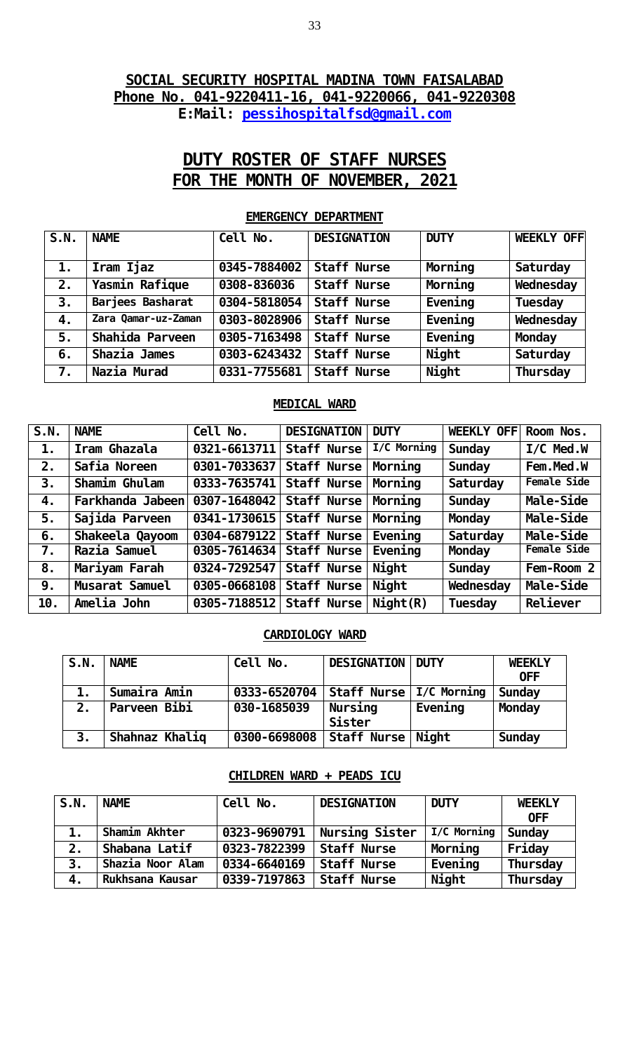### **SOCIAL SECURITY HOSPITAL MADINA TOWN FAISALABAD Phone No. 041-9220411-16, 041-9220066, 041-9220308 E:Mail: [pessihospitalfsd@gmail.com](mailto:pessihospitalfsd@gmail.com)**

# **DUTY ROSTER OF STAFF NURSES FOR THE MONTH OF NOVEMBER, 2021**

# **S.N. NAME Cell No. DESIGNATION DUTY WEEKLY OFF 1. Iram Ijaz 0345-7884002 Staff Nurse Morning Saturday 2. Yasmin Rafique 0308-836036 Staff Nurse Morning Wednesday 3. Barjees Basharat 0304-5818054 Staff Nurse Evening Tuesday 4. Zara Qamar-uz-Zaman 0303-8028906 Staff Nurse Evening Wednesday 5. Shahida Parveen 0305-7163498 Staff Nurse Evening Monday 6. Shazia James 0303-6243432 Staff Nurse Night Saturday 7. Nazia Murad 0331-7755681 Staff Nurse Night Thursday**

### **EMERGENCY DEPARTMENT**

### **MEDICAL WARD**

| S.N. | <b>NAME</b>           | Cell No.                   | <b>DESIGNATION</b> | <b>DUTY</b>     | <b>WEEKLY OFFI</b> | Room Nos.    |
|------|-----------------------|----------------------------|--------------------|-----------------|--------------------|--------------|
| 1.   | Iram Ghazala          | $0321 - 6613711$           | <b>Staff Nurse</b> | I/C Morning     | <b>Sunday</b>      | $I/C$ Med. W |
| 2.   | Safia Noreen          | 0301-7033637               | <b>Staff Nurse</b> | Morning         | <b>Sunday</b>      | Fem. Med. W  |
| 3.   | Shamim Ghulam         | $0333 - 7635741$           | <b>Staff Nurse</b> | Morning         | Saturday           | Female Side  |
| 4.   | Farkhanda Jabeen      | 0307-1648042 Staff Nurse   |                    | Morning         | <b>Sunday</b>      | Male-Side    |
| 5.   | Sajida Parveen        | 0341-1730615   Staff Nurse |                    | Morning         | <b>Monday</b>      | Male-Side    |
| 6.   | Shakeela Qayoom       | 0304-6879122 Staff Nurse   |                    | Eveni ng        | Saturday           | Male-Side    |
| 7.   | Razia Samuel          | 0305-7614634 Staff Nurse   |                    | Eveni ng        | <b>Monday</b>      | Female Side  |
| 8.   | Mariyam Farah         | 0324-7292547               | <b>Staff Nurse</b> | Ni ght          | <b>Sunday</b>      | Fem-Room 2   |
| 9.   | <b>Musarat Samuel</b> | 0305-0668108   Staff Nurse |                    | Ni ght          | Wednesday          | Male-Side    |
| 10.  | Amelia John           | 0305-7188512 Staff Nurse   |                    | $N$ i ght $(R)$ | Tuesday            | Rel i ever   |

#### **CARDIOLOGY WARD**

| S.N. | <b>NAME</b>    | <b>Cell</b><br>No. | <b>DESIGNATION</b> | <b>DUTY</b> | <b>WEEKLY</b> |
|------|----------------|--------------------|--------------------|-------------|---------------|
|      |                |                    |                    |             | <b>OFF</b>    |
| 1.   | Sumaira Amin   | 0333-6520704       | <b>Staff Nurse</b> | I/C Morning | Sunday        |
| 2.   | Parveen Bibi   | 030-1685039        | Nursing            | Eveni ng    | <b>Monday</b> |
|      |                |                    | <b>Sister</b>      |             |               |
| 3.   | Shahnaz Khaliq | 0300-6698008       | Staff Nurse        | Ni ght      | Sunday        |

### **CHILDREN WARD + PEADS ICU**

| S.N.               | <b>NAME</b>      | Cell No.     | <b>DESIGNATION</b> | <b>DUTY</b> | <b>WEEKLY</b><br><b>OFF</b> |
|--------------------|------------------|--------------|--------------------|-------------|-----------------------------|
| 1.                 | Shamim Akhter    | 0323-9690791 | Nursing Sister     | I/C Morning | <b>Sunday</b>               |
| 2.                 | Shabana Latif    | 0323-7822399 | <b>Staff Nurse</b> | Morning     | Fri day                     |
| 3.                 | Shazia Noor Alam | 0334-6640169 | <b>Staff Nurse</b> | Eveni ng    | Thursday                    |
| $\boldsymbol{4}$ . | Rukhsana Kausar  | 0339-7197863 | <b>Staff Nurse</b> | Ni ght      | Thursday                    |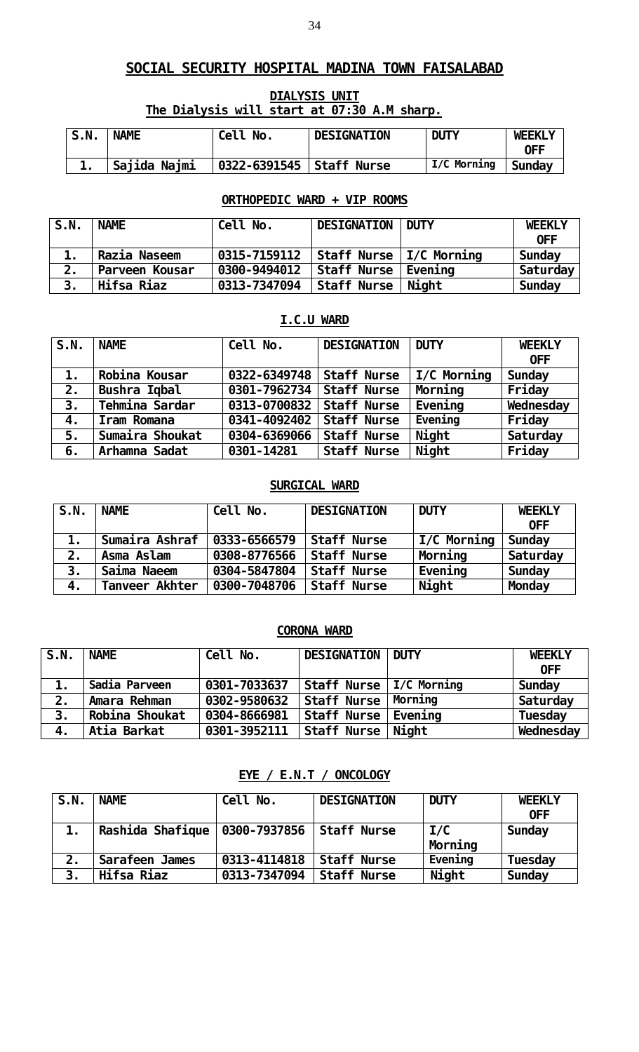### **DIALYSIS UNIT The Dialysis will start at 07:30 A.M sharp.**

| S.N. | <b>NAME</b>  | Cell No.                   | <b>DESIGNATION</b> | <b>DUTY</b> | <b>WEEKLY</b> |
|------|--------------|----------------------------|--------------------|-------------|---------------|
|      |              |                            |                    |             | 0FF           |
|      | Sajida Najmi | 0322-6391545   Staff Nurse |                    | I/C Morning | Sunday        |

### **ORTHOPEDIC WARD + VIP ROOMS**

| S.N. | <b>NAME</b>    | Cell No.     | <b>DESIGNATION   DUTY</b> |        | <b>WEEKLY</b><br>0FF |
|------|----------------|--------------|---------------------------|--------|----------------------|
|      | Razia Naseem   | 0315-7159112 | Staff Nurse   I/C Morning |        | Sunday               |
| 2.   | Parveen Kousar | 0300-9494012 | Staff Nurse   Evening     |        | Saturday             |
| 3.   | Hifsa Riaz     | 0313-7347094 | Staff Nurse               | Ni aht | Sunday               |

### **I.C.U WARD**

| S.N.           | <b>NAME</b>     | Cell No.                   | <b>DESIGNATION</b> | <b>DUTY</b>        | <b>WEEKLY</b> |
|----------------|-----------------|----------------------------|--------------------|--------------------|---------------|
|                |                 |                            |                    |                    | <b>OFF</b>    |
| $\mathbf{1}$ . | Robina Kousar   | 0322-6349748               | Staff Nurse        | <b>I/C Morning</b> | Sunday        |
| 2.             | Bushra Iqbal    | 0301-7962734   Staff Nurse |                    | Morning            | Fri day       |
| 3.             | Tehmina Sardar  | 0313-0700832   Staff Nurse |                    | Eveni ng           | Wednesday     |
| 4.             | Iram Romana     | 0341-4092402   Staff Nurse |                    | Evening            | Fri day       |
| 5.             | Sumaira Shoukat | 0304-6369066               | <b>Staff Nurse</b> | Ni ght             | Saturday      |
| 6.             | Arhamna Sadat   | 0301-14281                 | <b>Staff Nurse</b> | Ni ght             | Fri day       |

### **SURGICAL WARD**

| S.N. | <b>NAME</b>    | Cell No.     | <b>DESIGNATION</b> | <b>DUTY</b>  | <b>WEEKLY</b> |
|------|----------------|--------------|--------------------|--------------|---------------|
|      |                |              |                    |              | <b>OFF</b>    |
| 1.   | Sumaira Ashraf | 0333-6566579 | <b>Staff Nurse</b> | I/C Morning  | Sunday        |
| 2.   | Asma Aslam     | 0308-8776566 | <b>Staff Nurse</b> | Morning      | Saturday      |
| 3.   | Saima Naeem    | 0304-5847804 | <b>Staff Nurse</b> | Eveni ng     | Sunday        |
| 4.   | Tanveer Akhter | 0300-7048706 | <b>Staff Nurse</b> | <b>Night</b> | <b>Monday</b> |

### **CORONA WARD**

| S.N. | <b>NAME</b>    | Cell No.     | <b>DESIGNATION</b>        | <b>DUTY</b> | <b>WEEKLY</b> |
|------|----------------|--------------|---------------------------|-------------|---------------|
|      |                |              |                           |             | <b>OFF</b>    |
|      | Sadi a Parveen | 0301-7033637 | Staff Nurse   I/C Morning |             | Sunday        |
| 2.   | Amara Rehman   | 0302-9580632 | Staff Nurse   Morning     |             | Saturday      |
| 3.   | Robina Shoukat | 0304-8666981 | Staff Nurse   Evening     |             | Tuesday       |
|      | Atia Barkat    | 0301-3952111 | Staff Nurse               | Ni ght      | Wednesday     |

**EYE / E.N.T / ONCOLOGY**

| S.N.           | <b>NAME</b>                       | Cell No.     | <b>DESIGNATION</b> | <b>DUTY</b>    | <b>WEEKLY</b><br><b>OFF</b> |
|----------------|-----------------------------------|--------------|--------------------|----------------|-----------------------------|
| 1.             | Rashi da Shafi que   0300-7937856 |              | Staff Nurse        | 1/C<br>Morning | Sunday                      |
| 2.             | Sarafeen James                    | 0313-4114818 | <b>Staff Nurse</b> | Evening        | <b>Tuesday</b>              |
| 3 <sub>1</sub> | Hifsa Riaz                        | 0313-7347094 | <b>Staff Nurse</b> | Ni ght         | <b>Sunday</b>               |